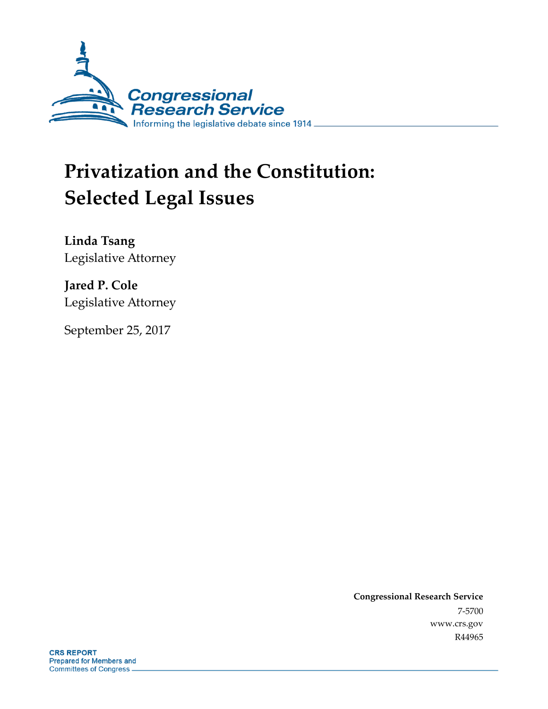

# **Privatization and the Constitution: Selected Legal Issues**

**Linda Tsang** Legislative Attorney

**Jared P. Cole** Legislative Attorney

September 25, 2017

**Congressional Research Service** 7-5700 www.crs.gov R44965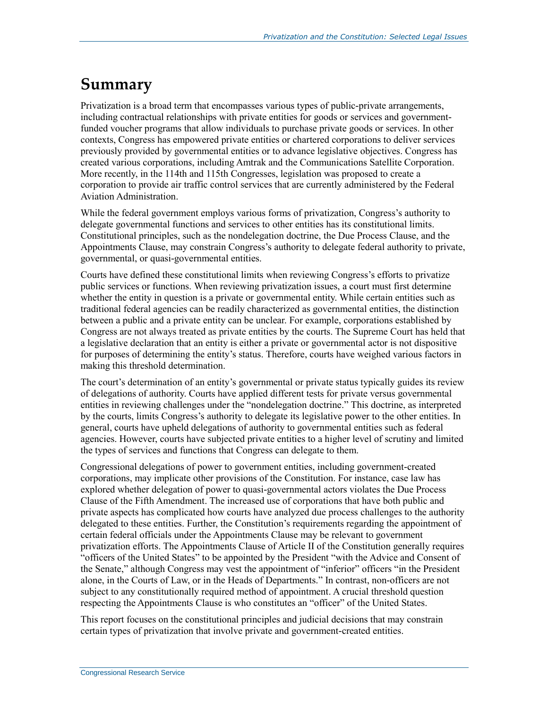## **Summary**

Privatization is a broad term that encompasses various types of public-private arrangements, including contractual relationships with private entities for goods or services and governmentfunded voucher programs that allow individuals to purchase private goods or services. In other contexts, Congress has empowered private entities or chartered corporations to deliver services previously provided by governmental entities or to advance legislative objectives. Congress has created various corporations, including Amtrak and the Communications Satellite Corporation. More recently, in the 114th and 115th Congresses, legislation was proposed to create a corporation to provide air traffic control services that are currently administered by the Federal Aviation Administration.

While the federal government employs various forms of privatization, Congress's authority to delegate governmental functions and services to other entities has its constitutional limits. Constitutional principles, such as the nondelegation doctrine, the Due Process Clause, and the Appointments Clause, may constrain Congress's authority to delegate federal authority to private, governmental, or quasi-governmental entities.

Courts have defined these constitutional limits when reviewing Congress's efforts to privatize public services or functions. When reviewing privatization issues, a court must first determine whether the entity in question is a private or governmental entity. While certain entities such as traditional federal agencies can be readily characterized as governmental entities, the distinction between a public and a private entity can be unclear. For example, corporations established by Congress are not always treated as private entities by the courts. The Supreme Court has held that a legislative declaration that an entity is either a private or governmental actor is not dispositive for purposes of determining the entity's status. Therefore, courts have weighed various factors in making this threshold determination.

The court's determination of an entity's governmental or private status typically guides its review of delegations of authority. Courts have applied different tests for private versus governmental entities in reviewing challenges under the "nondelegation doctrine." This doctrine, as interpreted by the courts, limits Congress's authority to delegate its legislative power to the other entities. In general, courts have upheld delegations of authority to governmental entities such as federal agencies. However, courts have subjected private entities to a higher level of scrutiny and limited the types of services and functions that Congress can delegate to them.

Congressional delegations of power to government entities, including government-created corporations, may implicate other provisions of the Constitution. For instance, case law has explored whether delegation of power to quasi-governmental actors violates the Due Process Clause of the Fifth Amendment. The increased use of corporations that have both public and private aspects has complicated how courts have analyzed due process challenges to the authority delegated to these entities. Further, the Constitution's requirements regarding the appointment of certain federal officials under the Appointments Clause may be relevant to government privatization efforts. The Appointments Clause of Article II of the Constitution generally requires "officers of the United States" to be appointed by the President "with the Advice and Consent of the Senate," although Congress may vest the appointment of "inferior" officers "in the President alone, in the Courts of Law, or in the Heads of Departments." In contrast, non-officers are not subject to any constitutionally required method of appointment. A crucial threshold question respecting the Appointments Clause is who constitutes an "officer" of the United States.

This report focuses on the constitutional principles and judicial decisions that may constrain certain types of privatization that involve private and government-created entities.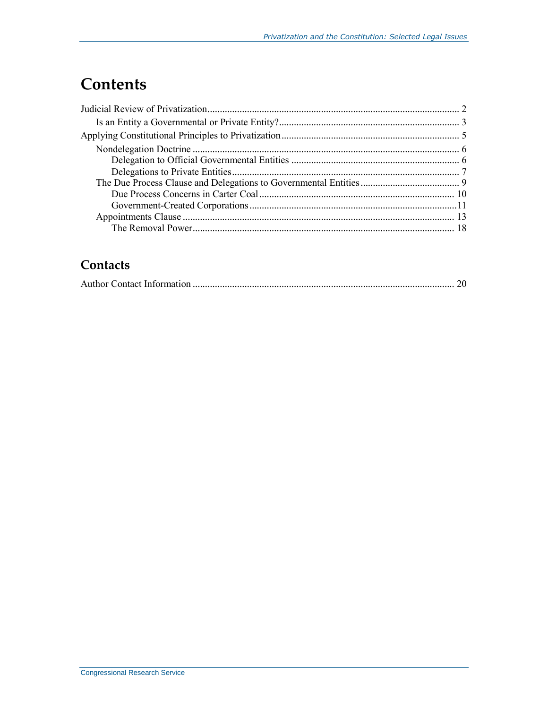# **Contents**

### **Contacts**

|--|--|--|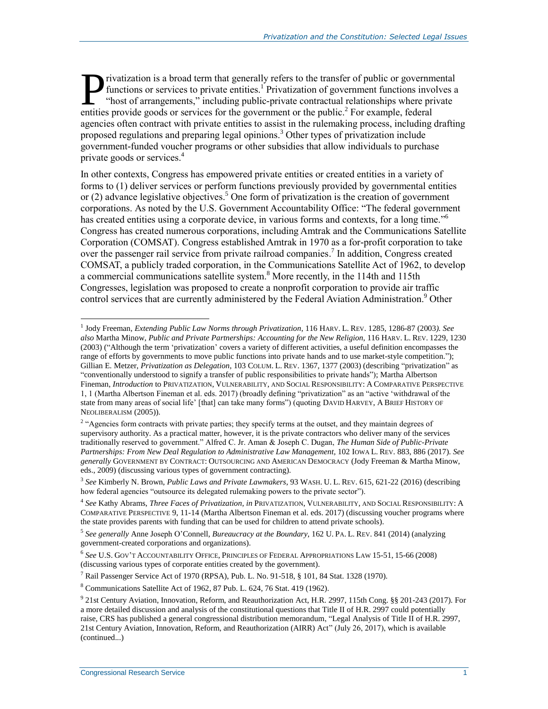rivatization is a broad term that generally refers to the transfer of public or governmental functions or services to private entities.<sup>1</sup> Privatization of government functions involves a "host of arrangements," including public-private contractual relationships where private **Exercise is a broad term that generally refers to the transfer of public or government functions or services to private entities.<sup>1</sup> Privatization of government functions involved the private of arrangements," including p** agencies often contract with private entities to assist in the rulemaking process, including drafting proposed regulations and preparing legal opinions.<sup>3</sup> Other types of privatization include government-funded voucher programs or other subsidies that allow individuals to purchase private goods or services.<sup>4</sup>

<span id="page-3-0"></span>In other contexts, Congress has empowered private entities or created entities in a variety of forms to (1) deliver services or perform functions previously provided by governmental entities or (2) advance legislative objectives.<sup>5</sup> One form of privatization is the creation of government corporations. As noted by the U.S. Government Accountability Office: "The federal government has created entities using a corporate device, in various forms and contexts, for a long time."<sup>6</sup> Congress has created numerous corporations, including Amtrak and the Communications Satellite Corporation (COMSAT). Congress established Amtrak in 1970 as a for-profit corporation to take over the passenger rail service from private railroad companies. 7 In addition, Congress created COMSAT, a publicly traded corporation, in the Communications Satellite Act of 1962, to develop a commercial communications satellite system. <sup>8</sup> More recently, in the 114th and 115th Congresses, legislation was proposed to create a nonprofit corporation to provide air traffic control services that are currently administered by the Federal Aviation Administration.<sup>9</sup> Other

<sup>1</sup> Jody Freeman, *Extending Public Law Norms through Privatization*, 116 HARV. L. REV. 1285, 1286-87 (2003*). See also* Martha Minow, *Public and Private Partnerships: Accounting for the New Religion*, 116 HARV. L. REV. 1229, 1230 (2003) ("Although the term 'privatization' covers a variety of different activities, a useful definition encompasses the range of efforts by governments to move public functions into private hands and to use market-style competition."); Gillian E. Metzer, *Privatization as Delegation*, 103 COLUM. L. REV. 1367, 1377 (2003) (describing "privatization" as "conventionally understood to signify a transfer of public responsibilities to private hands"); Martha Albertson Fineman, *Introduction* to PRIVATIZATION, VULNERABILITY, AND SOCIAL RESPONSIBILITY: A COMPARATIVE PERSPECTIVE 1, 1 (Martha Albertson Fineman et al. eds. 2017) (broadly defining "privatization" as an "active 'withdrawal of the state from many areas of social life' [that] can take many forms") (quoting DAVID HARVEY, A BRIEF HISTORY OF NEOLIBERALISM (2005)).

<sup>&</sup>lt;sup>2</sup> "Agencies form contracts with private parties; they specify terms at the outset, and they maintain degrees of supervisory authority. As a practical matter, however, it is the private contractors who deliver many of the services traditionally reserved to government." Alfred C. Jr. Aman & Joseph C. Dugan, *The Human Side of Public-Private Partnerships: From New Deal Regulation to Administrative Law Management*, 102 IOWA L. REV. 883, 886 (2017). *See generally* GOVERNMENT BY CONTRACT: OUTSOURCING AND AMERICAN DEMOCRACY (Jody Freeman & Martha Minow, eds., 2009) (discussing various types of government contracting).

<sup>3</sup> *See* Kimberly N. Brown, *Public Laws and Private Lawmakers*, 93 WASH. U. L. REV. 615, 621-22 (2016) (describing how federal agencies "outsource its delegated rulemaking powers to the private sector").

<sup>4</sup> *See* Kathy Abrams, *Three Faces of Privatization*, *in* PRIVATIZATION, VULNERABILITY, AND SOCIAL RESPONSIBILITY: A COMPARATIVE PERSPECTIVE 9, 11-14 (Martha Albertson Fineman et al. eds. 2017) (discussing voucher programs where the state provides parents with funding that can be used for children to attend private schools).

<sup>5</sup> *See generally* Anne Joseph O'Connell, *Bureaucracy at the Boundary*, 162 U. PA. L. REV. 841 (2014) (analyzing government-created corporations and organizations).

<sup>6</sup> *See* U.S. GOV'T ACCOUNTABILITY OFFICE, PRINCIPLES OF FEDERAL APPROPRIATIONS LAW 15-51, 15-66 (2008) (discussing various types of corporate entities created by the government).

<sup>7</sup> Rail Passenger Service Act of 1970 (RPSA), Pub. L. No. 91-518, § 101, 84 Stat. 1328 (1970).

<sup>8</sup> Communications Satellite Act of 1962, 87 Pub. L. 624, 76 Stat. 419 (1962).

<sup>9</sup> 21st Century Aviation, Innovation, Reform, and Reauthorization Act, H.R. 2997, 115th Cong. §§ 201-243 (2017). For a more detailed discussion and analysis of the constitutional questions that Title II of H.R. 2997 could potentially raise, CRS has published a general congressional distribution memorandum, "Legal Analysis of Title II of H.R. 2997, 21st Century Aviation, Innovation, Reform, and Reauthorization (AIRR) Act" (July 26, 2017), which is available (continued...)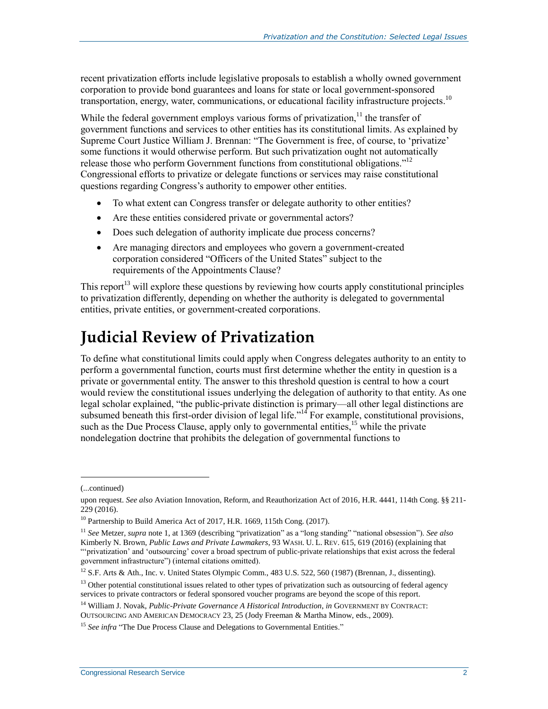recent privatization efforts include legislative proposals to establish a wholly owned government corporation to provide bond guarantees and loans for state or local government-sponsored transportation, energy, water, communications, or educational facility infrastructure projects. 10

While the federal government employs various forms of privatization, $11$  the transfer of government functions and services to other entities has its constitutional limits. As explained by Supreme Court Justice William J. Brennan: "The Government is free, of course, to 'privatize' some functions it would otherwise perform. But such privatization ought not automatically release those who perform Government functions from constitutional obligations."<sup>12</sup> Congressional efforts to privatize or delegate functions or services may raise constitutional questions regarding Congress's authority to empower other entities.

- To what extent can Congress transfer or delegate authority to other entities?
- Are these entities considered private or governmental actors?
- Does such delegation of authority implicate due process concerns?
- Are managing directors and employees who govern a government-created corporation considered "Officers of the United States" subject to the requirements of the Appointments Clause?

This report<sup>13</sup> will explore these questions by reviewing how courts apply constitutional principles to privatization differently, depending on whether the authority is delegated to governmental entities, private entities, or government-created corporations.

# **Judicial Review of Privatization**

To define what constitutional limits could apply when Congress delegates authority to an entity to perform a governmental function, courts must first determine whether the entity in question is a private or governmental entity. The answer to this threshold question is central to how a court would review the constitutional issues underlying the delegation of authority to that entity. As one legal scholar explained, "the public-private distinction is primary—all other legal distinctions are subsumed beneath this first-order division of legal life."<sup>14</sup> For example, constitutional provisions, such as the Due Process Clause, apply only to governmental entities,<sup>15</sup> while the private nondelegation doctrine that prohibits the delegation of governmental functions to

l

<sup>(...</sup>continued)

upon request. *See also* Aviation Innovation, Reform, and Reauthorization Act of 2016, H.R. 4441, 114th Cong. §§ 211- 229 (2016).

<sup>&</sup>lt;sup>10</sup> Partnership to Build America Act of 2017, H.R. 1669, 115th Cong. (2017).

<sup>11</sup> *See* Metzer, *supra* note 1, at 1369 (describing "privatization" as a "long standing" "national obsession"). *See also* Kimberly N. Brown, *Public Laws and Private Lawmakers*, 93 WASH. U. L. REV. 615, 619 (2016) (explaining that "'privatization' and 'outsourcing' cover a broad spectrum of public-private relationships that exist across the federal government infrastructure") (internal citations omitted).

<sup>&</sup>lt;sup>12</sup> S.F. Arts & Ath., Inc. v. United States Olympic Comm., 483 U.S. 522, 560 (1987) (Brennan, J., dissenting).

<sup>&</sup>lt;sup>13</sup> Other potential constitutional issues related to other types of privatization such as outsourcing of federal agency services to private contractors or federal sponsored voucher programs are beyond the scope of this report.

<sup>14</sup> William J. Novak, *Public-Private Governance A Historical Introduction*, *in* GOVERNMENT BY CONTRACT: OUTSOURCING AND AMERICAN DEMOCRACY 23, 25 (Jody Freeman & Martha Minow, eds., 2009).

<sup>&</sup>lt;sup>15</sup> *See infra* ["The Due Process Clause and Delegations to Governmental Entities."](#page-11-0)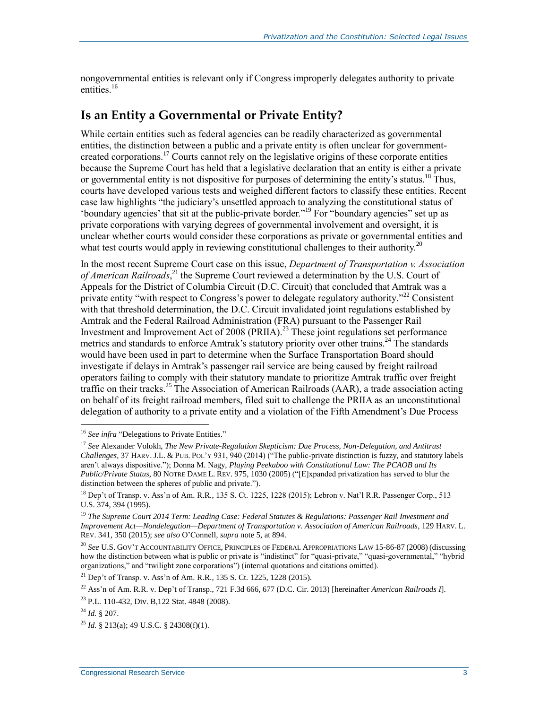nongovernmental entities is relevant only if Congress improperly delegates authority to private entities.<sup>16</sup>

#### **Is an Entity a Governmental or Private Entity?**

<span id="page-5-0"></span>While certain entities such as federal agencies can be readily characterized as governmental entities, the distinction between a public and a private entity is often unclear for governmentcreated corporations.<sup>17</sup> Courts cannot rely on the legislative origins of these corporate entities because the Supreme Court has held that a legislative declaration that an entity is either a private or governmental entity is not dispositive for purposes of determining the entity's status.<sup>18</sup> Thus, courts have developed various tests and weighed different factors to classify these entities. Recent case law highlights "the judiciary's unsettled approach to analyzing the constitutional status of 'boundary agencies' that sit at the public-private border." <sup>19</sup> For "boundary agencies" set up as private corporations with varying degrees of governmental involvement and oversight, it is unclear whether courts would consider these corporations as private or governmental entities and what test courts would apply in reviewing constitutional challenges to their authority.<sup>20</sup>

In the most recent Supreme Court case on this issue, *Department of Transportation v. Association of American Railroads*, <sup>21</sup> the Supreme Court reviewed a determination by the U.S. Court of Appeals for the District of Columbia Circuit (D.C. Circuit) that concluded that Amtrak was a private entity "with respect to Congress's power to delegate regulatory authority."<sup>22</sup> Consistent with that threshold determination, the D.C. Circuit invalidated joint regulations established by Amtrak and the Federal Railroad Administration (FRA) pursuant to the Passenger Rail Investment and Improvement Act of 2008 (PRIIA).<sup>23</sup> These joint regulations set performance metrics and standards to enforce Amtrak's statutory priority over other trains.<sup>24</sup> The standards would have been used in part to determine when the Surface Transportation Board should investigate if delays in Amtrak's passenger rail service are being caused by freight railroad operators failing to comply with their statutory mandate to prioritize Amtrak traffic over freight traffic on their tracks.<sup>25</sup> The Association of American Railroads (AAR), a trade association acting on behalf of its freight railroad members, filed suit to challenge the PRIIA as an unconstitutional delegation of authority to a private entity and a violation of the Fifth Amendment's Due Process

<sup>21</sup> Dep't of Transp. v. Ass'n of Am. R.R., 135 S. Ct. 1225, 1228 (2015).

<sup>&</sup>lt;sup>16</sup> See infra ["Delegations to Private Entities."](#page-9-0)

<sup>17</sup> *See* Alexander Volokh, *The New Private-Regulation Skepticism: Due Process, Non-Delegation, and Antitrust Challenges*, 37 HARV. J.L. & PUB. POL'Y 931, 940 (2014) ("The public-private distinction is fuzzy, and statutory labels aren't always dispositive."); Donna M. Nagy, *Playing Peekaboo with Constitutional Law: The PCAOB and Its Public/Private Status*, 80 NOTRE DAME L. REV. 975, 1030 (2005) ("[E]xpanded privatization has served to blur the distinction between the spheres of public and private.").

<sup>&</sup>lt;sup>18</sup> Dep't of Transp. v. Ass'n of Am. R.R., 135 S. Ct. 1225, 1228 (2015); Lebron v. Nat'l R.R. Passenger Corp., 513 U.S. 374, 394 (1995).

<sup>19</sup> *The Supreme Court 2014 Term: Leading Case: Federal Statutes & Regulations: Passenger Rail Investment and Improvement Act—Nondelegation—Department of Transportation v. Association of American Railroads*, 129 HARV. L. REV. 341, 350 (2015); *see also* O'Connell, *supra* not[e 5,](#page-3-0) at 894.

<sup>20</sup> *See* U.S. GOV'T ACCOUNTABILITY OFFICE, PRINCIPLES OF FEDERAL APPROPRIATIONS LAW 15-86-87 (2008) (discussing how the distinction between what is public or private is "indistinct" for "quasi-private," "quasi-governmental," "hybrid organizations," and "twilight zone corporations") (internal quotations and citations omitted).

<sup>22</sup> Ass'n of Am. R.R. v. Dep't of Transp., 721 F.3d 666, 677 (D.C. Cir. 2013) [hereinafter *American Railroads I*].

<sup>23</sup> P.L. 110-432, Div. B,122 Stat. 4848 (2008).

<sup>24</sup> *Id.* § 207.

<sup>25</sup> *Id.* § 213(a); 49 U.S.C. § 24308(f)(1).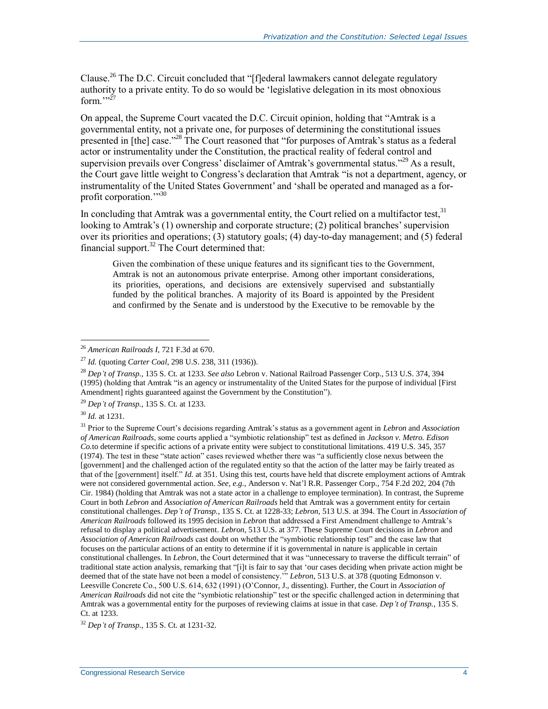Clause.<sup>26</sup> The D.C. Circuit concluded that "[f]ederal lawmakers cannot delegate regulatory authority to a private entity. To do so would be 'legislative delegation in its most obnoxious form. $\cdots$ <sup>27</sup>

On appeal, the Supreme Court vacated the D.C. Circuit opinion, holding that "Amtrak is a governmental entity, not a private one, for purposes of determining the constitutional issues presented in [the] case."<sup>28</sup> The Court reasoned that "for purposes of Amtrak's status as a federal actor or instrumentality under the Constitution, the practical reality of federal control and supervision prevails over Congress' disclaimer of Amtrak's governmental status."<sup>29</sup> As a result, the Court gave little weight to Congress's declaration that Amtrak "is not a department, agency, or instrumentality of the United States Government' and 'shall be operated and managed as a forprofit corporation."<sup>30</sup>

In concluding that Amtrak was a governmental entity, the Court relied on a multifactor test.<sup>31</sup> looking to Amtrak's (1) ownership and corporate structure; (2) political branches' supervision over its priorities and operations; (3) statutory goals; (4) day-to-day management; and (5) federal financial support.<sup>32</sup> The Court determined that:

Given the combination of these unique features and its significant ties to the Government, Amtrak is not an autonomous private enterprise. Among other important considerations, its priorities, operations, and decisions are extensively supervised and substantially funded by the political branches. A majority of its Board is appointed by the President and confirmed by the Senate and is understood by the Executive to be removable by the

<sup>29</sup> *Dep't of Transp.*, 135 S. Ct. at 1233.

<sup>30</sup> *Id.* at 1231.

 $\overline{a}$ 

<sup>31</sup> Prior to the Supreme Court's decisions regarding Amtrak's status as a government agent in *Lebron* and *Association of American Railroads*, some courts applied a "symbiotic relationship" test as defined in *Jackson v. Metro. Edison Co.*to determine if specific actions of a private entity were subject to constitutional limitations. 419 U.S. 345, 357 (1974). The test in these "state action" cases reviewed whether there was "a sufficiently close nexus between the [government] and the challenged action of the regulated entity so that the action of the latter may be fairly treated as that of the [government] itself." *Id.* at 351. Using this test, courts have held that discrete employment actions of Amtrak were not considered governmental action. *See, e.g.*, Anderson v. Nat'l R.R. Passenger Corp., 754 F.2d 202, 204 (7th Cir. 1984) (holding that Amtrak was not a state actor in a challenge to employee termination). In contrast, the Supreme Court in both *Lebron* and *Association of American Railroads* held that Amtrak was a government entity for certain constitutional challenges. *Dep't of Transp.*, 135 S. Ct. at 1228-33; *Lebron*, 513 U.S. at 394. The Court in *Association of American Railroads* followed its 1995 decision in *Lebron* that addressed a First Amendment challenge to Amtrak's refusal to display a political advertisement. *Lebron*, 513 U.S. at 377. These Supreme Court decisions in *Lebron* and *Association of American Railroads* cast doubt on whether the "symbiotic relationship test" and the case law that focuses on the particular actions of an entity to determine if it is governmental in nature is applicable in certain constitutional challenges. In *Lebron*, the Court determined that it was "unnecessary to traverse the difficult terrain" of traditional state action analysis, remarking that "[i]t is fair to say that 'our cases deciding when private action might be deemed that of the state have not been a model of consistency.'" *Lebron*, 513 U.S. at 378 (quoting Edmonson v. Leesville Concrete Co., 500 U.S. 614, 632 (1991) (O'Connor, J., dissenting). Further, the Court in *Association of American Railroads* did not cite the "symbiotic relationship" test or the specific challenged action in determining that Amtrak was a governmental entity for the purposes of reviewing claims at issue in that case. *Dep't of Transp.*, 135 S. Ct. at 1233.

<sup>26</sup> *American Railroads I,* 721 F.3d at 670.

<sup>27</sup> *Id.* (quoting *Carter Coal*, 298 U.S. 238, 311 (1936)).

<sup>28</sup> *Dep't of Transp.*, 135 S. Ct. at 1233. *See also* Lebron v. National Railroad Passenger Corp., 513 U.S. 374, 394 (1995) (holding that Amtrak "is an agency or instrumentality of the United States for the purpose of individual [First Amendment] rights guaranteed against the Government by the Constitution").

<sup>32</sup> *Dep't of Transp.*, 135 S. Ct. at 1231-32.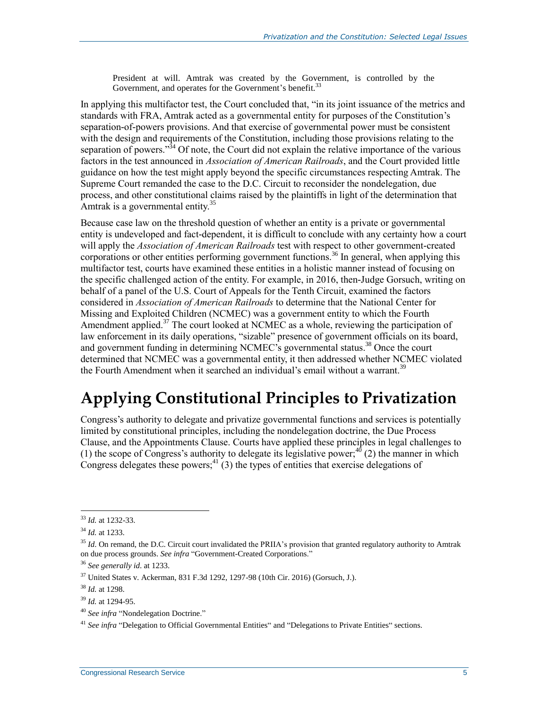President at will. Amtrak was created by the Government, is controlled by the Government, and operates for the Government's benefit.<sup>33</sup>

In applying this multifactor test, the Court concluded that, "in its joint issuance of the metrics and standards with FRA, Amtrak acted as a governmental entity for purposes of the Constitution's separation-of-powers provisions. And that exercise of governmental power must be consistent with the design and requirements of the Constitution, including those provisions relating to the separation of powers."<sup>34</sup> Of note, the Court did not explain the relative importance of the various factors in the test announced in *Association of American Railroads*, and the Court provided little guidance on how the test might apply beyond the specific circumstances respecting Amtrak. The Supreme Court remanded the case to the D.C. Circuit to reconsider the nondelegation, due process, and other constitutional claims raised by the plaintiffs in light of the determination that Amtrak is a governmental entity.<sup>35</sup>

Because case law on the threshold question of whether an entity is a private or governmental entity is undeveloped and fact-dependent, it is difficult to conclude with any certainty how a court will apply the *Association of American Railroads* test with respect to other government-created corporations or other entities performing government functions.<sup>36</sup> In general, when applying this multifactor test, courts have examined these entities in a holistic manner instead of focusing on the specific challenged action of the entity. For example, in 2016, then-Judge Gorsuch, writing on behalf of a panel of the U.S. Court of Appeals for the Tenth Circuit, examined the factors considered in *Association of American Railroads* to determine that the National Center for Missing and Exploited Children (NCMEC) was a government entity to which the Fourth Amendment applied.<sup>37</sup> The court looked at NCMEC as a whole, reviewing the participation of law enforcement in its daily operations, "sizable" presence of government officials on its board, and government funding in determining NCMEC's governmental status. <sup>38</sup> Once the court determined that NCMEC was a governmental entity, it then addressed whether NCMEC violated the Fourth Amendment when it searched an individual's email without a warrant.<sup>39</sup>

# **Applying Constitutional Principles to Privatization**

Congress's authority to delegate and privatize governmental functions and services is potentially limited by constitutional principles, including the nondelegation doctrine, the Due Process Clause, and the Appointments Clause. Courts have applied these principles in legal challenges to (1) the scope of Congress's authority to delegate its legislative power;  $^{40}$  (2) the manner in which Congress delegates these powers;<sup>41</sup> (3) the types of entities that exercise delegations of

<sup>33</sup> *Id.* at 1232-33.

<sup>34</sup> *Id.* at 1233.

<sup>&</sup>lt;sup>35</sup> *Id.* On remand, the D.C. Circuit court invalidated the PRIIA's provision that granted regulatory authority to Amtrak on due process grounds. *See infra* ["Government-Created Corporations.](#page-13-0)"

<sup>36</sup> *See generally id*. at 1233.

 $37$  United States v. Ackerman, 831 F.3d 1292, 1297-98 (10th Cir. 2016) (Gorsuch, J.).

<sup>38</sup> *Id.* at 1298.

<sup>39</sup> *Id.* at 1294-95.

<sup>40</sup> *See infra* ["Nondelegation Doctrine."](#page-8-0)

<sup>&</sup>lt;sup>41</sup> See infra ["Delegation to Official Governmental Entities"](#page-8-1) and ["Delegations to Private Entities"](#page-9-0) sections.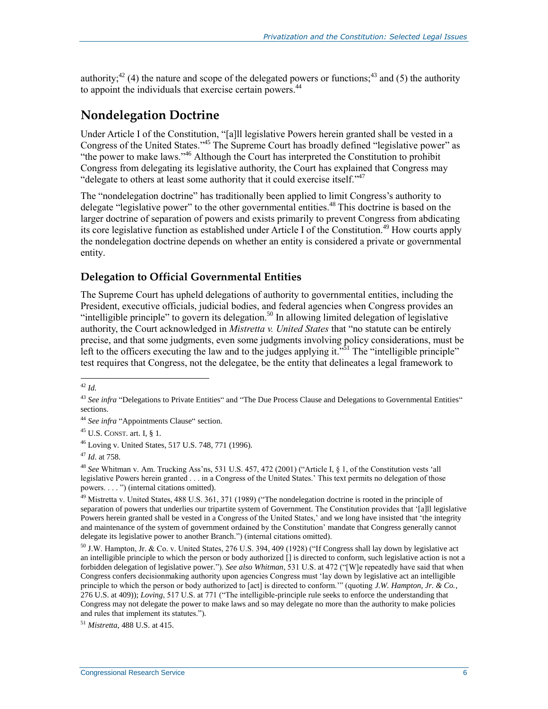authority;<sup>42</sup> (4) the nature and scope of the delegated powers or functions;<sup>43</sup> and (5) the authority to appoint the individuals that exercise certain powers.<sup>44</sup>

### <span id="page-8-0"></span>**Nondelegation Doctrine**

Under Article I of the Constitution, "[a]ll legislative Powers herein granted shall be vested in a Congress of the United States."<sup>45</sup> The Supreme Court has broadly defined "legislative power" as "the power to make laws."<sup>46</sup> Although the Court has interpreted the Constitution to prohibit Congress from delegating its legislative authority, the Court has explained that Congress may "delegate to others at least some authority that it could exercise itself."<sup>47</sup>

The "nondelegation doctrine" has traditionally been applied to limit Congress's authority to delegate "legislative power" to the other governmental entities.<sup>48</sup> This doctrine is based on the larger doctrine of separation of powers and exists primarily to prevent Congress from abdicating its core legislative function as established under Article I of the Constitution.<sup>49</sup> How courts apply the nondelegation doctrine depends on whether an entity is considered a private or governmental entity.

#### <span id="page-8-1"></span>**Delegation to Official Governmental Entities**

The Supreme Court has upheld delegations of authority to governmental entities, including the President, executive officials, judicial bodies, and federal agencies when Congress provides an "intelligible principle" to govern its delegation.<sup>50</sup> In allowing limited delegation of legislative authority, the Court acknowledged in *Mistretta v. United States* that "no statute can be entirely precise, and that some judgments, even some judgments involving policy considerations, must be left to the officers executing the law and to the judges applying it."<sup>51</sup> The "intelligible principle" test requires that Congress, not the delegatee, be the entity that delineates a legal framework to

 $\overline{a}$ <sup>42</sup> *Id.*

<sup>&</sup>lt;sup>43</sup> See infra ["Delegations to Private Entities"](#page-9-0) and ["The Due Process Clause and Delegations to Governmental Entities"](#page-11-0) sections.

<sup>44</sup> *See infra* ["Appointments Clause"](#page-15-0) section.

 $45$  U.S. CONST. art. I, § 1.

<sup>46</sup> Loving v. United States, 517 U.S. 748, 771 (1996).

<sup>47</sup> *Id*. at 758.

<sup>48</sup> *See* Whitman v. Am. Trucking Ass'ns, 531 U.S. 457, 472 (2001) ("Article I, § 1, of the Constitution vests 'all legislative Powers herein granted . . . in a Congress of the United States.' This text permits no delegation of those powers. . . . ") (internal citations omitted).

 $^{49}$  Mistretta v. United States, 488 U.S. 361, 371 (1989) ("The nondelegation doctrine is rooted in the principle of separation of powers that underlies our tripartite system of Government. The Constitution provides that '[a]ll legislative Powers herein granted shall be vested in a Congress of the United States,' and we long have insisted that 'the integrity and maintenance of the system of government ordained by the Constitution' mandate that Congress generally cannot delegate its legislative power to another Branch.") (internal citations omitted).

 $50$  J.W. Hampton, Jr. & Co. v. United States, 276 U.S. 394, 409 (1928) ("If Congress shall lay down by legislative act an intelligible principle to which the person or body authorized [] is directed to conform, such legislative action is not a forbidden delegation of legislative power."). *See also Whitman*, 531 U.S. at 472 ("[W]e repeatedly have said that when Congress confers decisionmaking authority upon agencies Congress must 'lay down by legislative act an intelligible principle to which the person or body authorized to [act] is directed to conform.'" (quoting *J.W. Hampton, Jr. & Co.*, 276 U.S. at 409)); *Loving*, 517 U.S. at 771 ("The intelligible-principle rule seeks to enforce the understanding that Congress may not delegate the power to make laws and so may delegate no more than the authority to make policies and rules that implement its statutes.")*.*

<sup>51</sup> *Mistretta*, 488 U.S. at 415.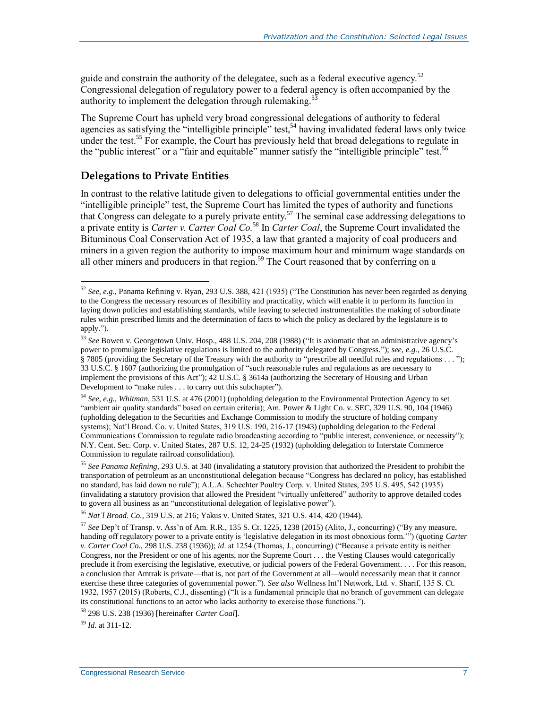guide and constrain the authority of the delegatee, such as a federal executive agency.<sup>52</sup> Congressional delegation of regulatory power to a federal agency is often accompanied by the authority to implement the delegation through rulemaking.<sup>5</sup>

The Supreme Court has upheld very broad congressional delegations of authority to federal agencies as satisfying the "intelligible principle" test,<sup>54</sup> having invalidated federal laws only twice under the test.<sup>55</sup> For example, the Court has previously held that broad delegations to regulate in the "public interest" or a "fair and equitable" manner satisfy the "intelligible principle" test.<sup>56</sup>

#### <span id="page-9-0"></span>**Delegations to Private Entities**

In contrast to the relative latitude given to delegations to official governmental entities under the "intelligible principle" test, the Supreme Court has limited the types of authority and functions that Congress can delegate to a purely private entity.<sup>57</sup> The seminal case addressing delegations to a private entity is *Carter v. Carter Coal Co.* <sup>58</sup> In *Carter Coal*, the Supreme Court invalidated the Bituminous Coal Conservation Act of 1935, a law that granted a majority of coal producers and miners in a given region the authority to impose maximum hour and minimum wage standards on all other miners and producers in that region.<sup>59</sup> The Court reasoned that by conferring on a

<sup>59</sup> *Id*. at 311-12.

 $52$  *See, e.g.*, Panama Refining v. Ryan, 293 U.S. 388, 421 (1935) ("The Constitution has never been regarded as denying to the Congress the necessary resources of flexibility and practicality, which will enable it to perform its function in laying down policies and establishing standards, while leaving to selected instrumentalities the making of subordinate rules within prescribed limits and the determination of facts to which the policy as declared by the legislature is to apply.").

<sup>53</sup> *See* Bowen v. Georgetown Univ. Hosp., 488 U.S. 204, 208 (1988) ("It is axiomatic that an administrative agency's power to promulgate legislative regulations is limited to the authority delegated by Congress."); *see, e.g.*, 26 U.S.C. § 7805 (providing the Secretary of the Treasury with the authority to "prescribe all needful rules and regulations . . . "); 33 U.S.C. § 1607 (authorizing the promulgation of "such reasonable rules and regulations as are necessary to implement the provisions of this Act"); 42 U.S.C. § 3614a (authorizing the Secretary of Housing and Urban Development to "make rules . . . to carry out this subchapter").

<sup>54</sup> *See, e.g.*, *Whitman*, 531 U.S. at 476 (2001) (upholding delegation to the Environmental Protection Agency to set "ambient air quality standards" based on certain criteria); Am. Power & Light Co. v. SEC, 329 U.S. 90, 104 (1946) (upholding delegation to the Securities and Exchange Commission to modify the structure of holding company systems); Nat'l Broad. Co. v. United States, 319 U.S. 190, 216-17 (1943) (upholding delegation to the Federal Communications Commission to regulate radio broadcasting according to "public interest, convenience, or necessity"); N.Y. Cent. Sec. Corp. v. United States, 287 U.S. 12, 24-25 (1932) (upholding delegation to Interstate Commerce Commission to regulate railroad consolidation).

<sup>55</sup> *See Panama Refining*, 293 U.S. at 340 (invalidating a statutory provision that authorized the President to prohibit the transportation of petroleum as an unconstitutional delegation because "Congress has declared no policy, has established no standard, has laid down no rule"); A.L.A. Schechter Poultry Corp. v. United States, 295 U.S. 495, 542 (1935) (invalidating a statutory provision that allowed the President "virtually unfettered" authority to approve detailed codes to govern all business as an "unconstitutional delegation of legislative power").

<sup>56</sup> *Nat'l Broad. Co.*, 319 U.S. at 216; Yakus v. United States, 321 U.S. 414, 420 (1944).

<sup>57</sup> *See* Dep't of Transp. v. Ass'n of Am. R.R., 135 S. Ct. 1225, 1238 (2015) (Alito, J., concurring) ("By any measure, handing off regulatory power to a private entity is 'legislative delegation in its most obnoxious form.'") (quoting *Carter v. Carter Coal Co.*, 298 U.S. 238 (1936)); *id*. at 1254 (Thomas, J., concurring) ("Because a private entity is neither Congress, nor the President or one of his agents, nor the Supreme Court . . . the Vesting Clauses would categorically preclude it from exercising the legislative, executive, or judicial powers of the Federal Government. . . . For this reason, a conclusion that Amtrak is private—that is, not part of the Government at all—would necessarily mean that it cannot exercise these three categories of governmental power."). *See also* Wellness Int'l Network, Ltd. v. Sharif, 135 S. Ct. 1932, 1957 (2015) (Roberts, C.J., dissenting) ("It is a fundamental principle that no branch of government can delegate its constitutional functions to an actor who lacks authority to exercise those functions.").

<sup>58</sup> 298 U.S. 238 (1936) [hereinafter *Carter Coal*].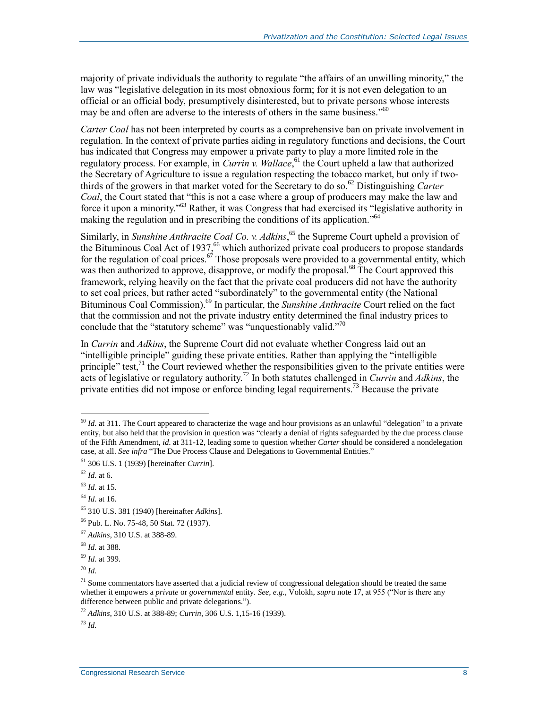majority of private individuals the authority to regulate "the affairs of an unwilling minority," the law was "legislative delegation in its most obnoxious form; for it is not even delegation to an official or an official body, presumptively disinterested, but to private persons whose interests may be and often are adverse to the interests of others in the same business."<sup>60</sup>

*Carter Coal* has not been interpreted by courts as a comprehensive ban on private involvement in regulation. In the context of private parties aiding in regulatory functions and decisions, the Court has indicated that Congress may empower a private party to play a more limited role in the regulatory process. For example, in *Currin v. Wallace*, <sup>61</sup> the Court upheld a law that authorized the Secretary of Agriculture to issue a regulation respecting the tobacco market, but only if twothirds of the growers in that market voted for the Secretary to do so. <sup>62</sup> Distinguishing *Carter Coal*, the Court stated that "this is not a case where a group of producers may make the law and force it upon a minority."<sup>63</sup> Rather, it was Congress that had exercised its "legislative authority in making the regulation and in prescribing the conditions of its application."<sup>64</sup>

Similarly, in *Sunshine Anthracite Coal Co. v. Adkins*, <sup>65</sup> the Supreme Court upheld a provision of the Bituminous Coal Act of 1937,<sup>66</sup> which authorized private coal producers to propose standards for the regulation of coal prices. $\frac{67}{7}$  Those proposals were provided to a governmental entity, which was then authorized to approve, disapprove, or modify the proposal.<sup>68</sup> The Court approved this framework, relying heavily on the fact that the private coal producers did not have the authority to set coal prices, but rather acted "subordinately" to the governmental entity (the National Bituminous Coal Commission). <sup>69</sup> In particular, the *Sunshine Anthracite* Court relied on the fact that the commission and not the private industry entity determined the final industry prices to conclude that the "statutory scheme" was "unquestionably valid."<sup>70</sup>

In *Currin* and *Adkins*, the Supreme Court did not evaluate whether Congress laid out an "intelligible principle" guiding these private entities. Rather than applying the "intelligible principle" test, $^{71}$  the Court reviewed whether the responsibilities given to the private entities were acts of legislative or regulatory authority.<sup>72</sup> In both statutes challenged in *Currin* and *Adkins*, the private entities did not impose or enforce binding legal requirements.<sup>73</sup> Because the private

 $\overline{a}$ 

<sup>70</sup> *Id.*

<sup>72</sup> *Adkins*, 310 U.S. at 388-89; *Currin*, 306 U.S. 1,15-16 (1939).

 $60$  *Id.* at 311. The Court appeared to characterize the wage and hour provisions as an unlawful "delegation" to a private entity, but also held that the provision in question was "clearly a denial of rights safeguarded by the due process clause of the Fifth Amendment, *id.* at 311-12, leading some to question whether *Carter* should be considered a nondelegation case, at all. *See infra* ["The Due Process Clause and Delegations to Governmental Entities."](#page-11-0)

<sup>61</sup> 306 U.S. 1 (1939) [hereinafter *Currin*].

<sup>62</sup> *Id*. at 6.

<sup>63</sup> *Id*. at 15.

<sup>64</sup> *Id*. at 16.

<sup>65</sup> 310 U.S. 381 (1940) [hereinafter *Adkins*].

<sup>66</sup> Pub. L. No. 75-48, 50 Stat. 72 (1937).

<sup>67</sup> *Adkins*, 310 U.S. at 388-89.

<sup>68</sup> *Id*. at 388.

<sup>69</sup> *Id*. at 399.

 $<sup>71</sup>$  Some commentators have asserted that a judicial review of congressional delegation should be treated the same</sup> whether it empowers a *private* or *governmental* entity. *See, e.g.*, Volokh, *supra* not[e 17,](#page-5-0) at 955 ("Nor is there any difference between public and private delegations.").

<sup>73</sup> *Id.*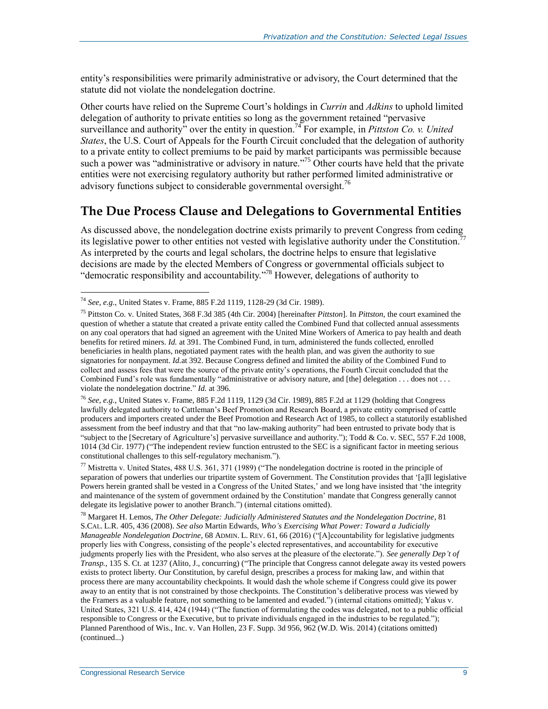entity's responsibilities were primarily administrative or advisory, the Court determined that the statute did not violate the nondelegation doctrine.

Other courts have relied on the Supreme Court's holdings in *Currin* and *Adkins* to uphold limited delegation of authority to private entities so long as the government retained "pervasive surveillance and authority" over the entity in question.<sup>74</sup> For example, in *Pittston Co. v. United States*, the U.S. Court of Appeals for the Fourth Circuit concluded that the delegation of authority to a private entity to collect premiums to be paid by market participants was permissible because such a power was "administrative or advisory in nature."<sup>75</sup> Other courts have held that the private entities were not exercising regulatory authority but rather performed limited administrative or advisory functions subject to considerable governmental oversight.<sup>76</sup>

#### <span id="page-11-0"></span>**The Due Process Clause and Delegations to Governmental Entities**

As discussed above, the nondelegation doctrine exists primarily to prevent Congress from ceding its legislative power to other entities not vested with legislative authority under the Constitution.<sup>7</sup> As interpreted by the courts and legal scholars, the doctrine helps to ensure that legislative decisions are made by the elected Members of Congress or governmental officials subject to "democratic responsibility and accountability." <sup>78</sup> However, delegations of authority to

 $\overline{a}$ 

<sup>76</sup> *See, e.g.*, United States v. Frame, 885 F.2d 1119, 1129 (3d Cir. 1989), 885 F.2d at 1129 (holding that Congress lawfully delegated authority to Cattleman's Beef Promotion and Research Board, a private entity comprised of cattle producers and importers created under the Beef Promotion and Research Act of 1985, to collect a statutorily established assessment from the beef industry and that that "no law-making authority" had been entrusted to private body that is "subject to the [Secretary of Agriculture's] pervasive surveillance and authority."); Todd & Co. v. SEC, 557 F.2d 1008, 1014 (3d Cir. 1977) ("The independent review function entrusted to the SEC is a significant factor in meeting serious constitutional challenges to this self-regulatory mechanism.").

<sup>77</sup> Mistretta v. United States, 488 U.S. 361, 371 (1989) ("The nondelegation doctrine is rooted in the principle of separation of powers that underlies our tripartite system of Government. The Constitution provides that '[a]ll legislative Powers herein granted shall be vested in a Congress of the United States,' and we long have insisted that 'the integrity and maintenance of the system of government ordained by the Constitution' mandate that Congress generally cannot delegate its legislative power to another Branch.") (internal citations omitted).

<sup>78</sup> Margaret H. Lemos, *The Other Delegate: Judicially Administered Statutes and the Nondelegation Doctrine*, 81 S.CAL. L.R. 405, 436 (2008). *See also* Martin Edwards, *Who's Exercising What Power: Toward a Judicially Manageable Nondelegation Doctrine*, 68 ADMIN. L. REV. 61, 66 (2016) ("[A]ccountability for legislative judgments properly lies with Congress, consisting of the people's elected representatives, and accountability for executive judgments properly lies with the President, who also serves at the pleasure of the electorate."). *See generally Dep't of Transp.*, 135 S. Ct. at 1237 (Alito, J., concurring) ("The principle that Congress cannot delegate away its vested powers exists to protect liberty. Our Constitution, by careful design, prescribes a process for making law, and within that process there are many accountability checkpoints. It would dash the whole scheme if Congress could give its power away to an entity that is not constrained by those checkpoints. The Constitution's deliberative process was viewed by the Framers as a valuable feature, not something to be lamented and evaded.") (internal citations omitted); Yakus v. United States, 321 U.S. 414, 424 (1944) ("The function of formulating the codes was delegated, not to a public official responsible to Congress or the Executive, but to private individuals engaged in the industries to be regulated."); Planned Parenthood of Wis., Inc. v. Van Hollen, 23 F. Supp. 3d 956, 962 (W.D. Wis. 2014) (citations omitted) (continued...)

<sup>74</sup> *See, e.g.*, United States v. Frame, 885 F.2d 1119, 1128-29 (3d Cir. 1989).

<sup>75</sup> Pittston Co. v. United States, 368 F.3d 385 (4th Cir. 2004) [hereinafter *Pittston*]. In *Pittston*, the court examined the question of whether a statute that created a private entity called the Combined Fund that collected annual assessments on any coal operators that had signed an agreement with the United Mine Workers of America to pay health and death benefits for retired miners. *Id.* at 391. The Combined Fund, in turn, administered the funds collected, enrolled beneficiaries in health plans, negotiated payment rates with the health plan, and was given the authority to sue signatories for nonpayment. *Id.*at 392. Because Congress defined and limited the ability of the Combined Fund to collect and assess fees that were the source of the private entity's operations, the Fourth Circuit concluded that the Combined Fund's role was fundamentally "administrative or advisory nature, and [the] delegation . . . does not . . . violate the nondelegation doctrine." *Id.* at 396.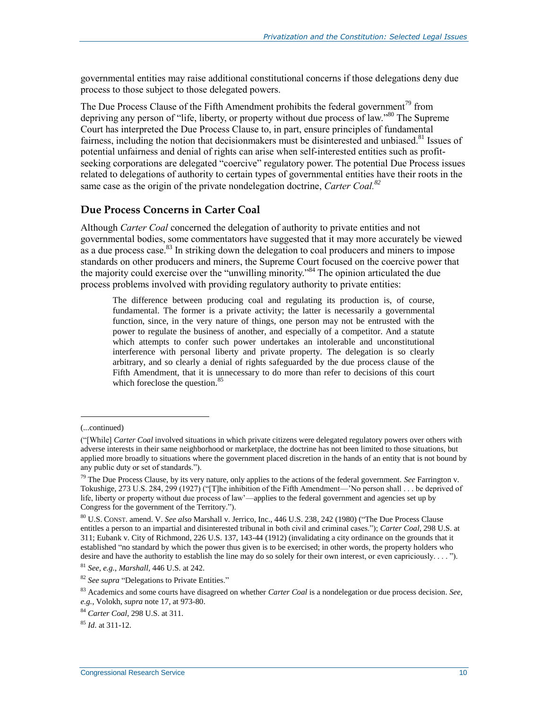governmental entities may raise additional constitutional concerns if those delegations deny due process to those subject to those delegated powers.

The Due Process Clause of the Fifth Amendment prohibits the federal government<sup>79</sup> from depriving any person of "life, liberty, or property without due process of law."<sup>80</sup> The Supreme Court has interpreted the Due Process Clause to, in part, ensure principles of fundamental fairness, including the notion that decisionmakers must be disinterested and unbiased.<sup>81</sup> Issues of potential unfairness and denial of rights can arise when self-interested entities such as profitseeking corporations are delegated "coercive" regulatory power. The potential Due Process issues related to delegations of authority to certain types of governmental entities have their roots in the same case as the origin of the private nondelegation doctrine, *Carter Coal.<sup>82</sup>*

#### **Due Process Concerns in Carter Coal**

Although *Carter Coal* concerned the delegation of authority to private entities and not governmental bodies, some commentators have suggested that it may more accurately be viewed as a due process case.<sup>83</sup> In striking down the delegation to coal producers and miners to impose standards on other producers and miners, the Supreme Court focused on the coercive power that the majority could exercise over the "unwilling minority."<sup>84</sup> The opinion articulated the due process problems involved with providing regulatory authority to private entities:

The difference between producing coal and regulating its production is, of course, fundamental. The former is a private activity; the latter is necessarily a governmental function, since, in the very nature of things, one person may not be entrusted with the power to regulate the business of another, and especially of a competitor. And a statute which attempts to confer such power undertakes an intolerable and unconstitutional interference with personal liberty and private property. The delegation is so clearly arbitrary, and so clearly a denial of rights safeguarded by the due process clause of the Fifth Amendment, that it is unnecessary to do more than refer to decisions of this court which foreclose the question.<sup>85</sup>

<sup>(...</sup>continued)

<sup>(&</sup>quot;[While] *Carter Coal* involved situations in which private citizens were delegated regulatory powers over others with adverse interests in their same neighborhood or marketplace, the doctrine has not been limited to those situations, but applied more broadly to situations where the government placed discretion in the hands of an entity that is not bound by any public duty or set of standards.").

<sup>79</sup> The Due Process Clause, by its very nature, only applies to the actions of the federal government. *See* Farrington v. Tokushige, 273 U.S. 284, 299 (1927) ("[T]he inhibition of the Fifth Amendment—'No person shall . . . be deprived of life, liberty or property without due process of law'—applies to the federal government and agencies set up by Congress for the government of the Territory.").

<sup>80</sup> U.S. CONST. amend. V. *See also* Marshall v. Jerrico, Inc., 446 U.S. 238, 242 (1980) ("The Due Process Clause entitles a person to an impartial and disinterested tribunal in both civil and criminal cases."); *Carter Coal*, 298 U.S. at 311; Eubank v. City of Richmond, 226 U.S. 137, 143-44 (1912) (invalidating a city ordinance on the grounds that it established "no standard by which the power thus given is to be exercised; in other words, the property holders who desire and have the authority to establish the line may do so solely for their own interest, or even capriciously. . . . ").

<sup>81</sup> *See, e.g.*, *Marshall*, 446 U.S. at 242.

<sup>82</sup> *See supra* ["Delegations to Private Entities."](#page-9-0)

<sup>83</sup> Academics and some courts have disagreed on whether *Carter Coal* is a nondelegation or due process decision. *See, e.g.*, Volokh, *supra* not[e 17,](#page-5-0) at 973-80.

<sup>84</sup> *Carter Coal*, 298 U.S. at 311.

<sup>85</sup> *Id*. at 311-12.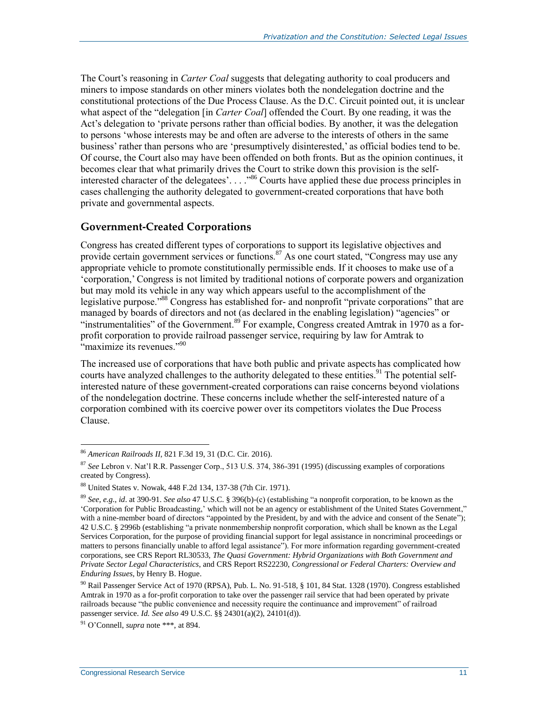The Court's reasoning in *Carter Coal* suggests that delegating authority to coal producers and miners to impose standards on other miners violates both the nondelegation doctrine and the constitutional protections of the Due Process Clause. As the D.C. Circuit pointed out, it is unclear what aspect of the "delegation [in *Carter Coal*] offended the Court. By one reading, it was the Act's delegation to 'private persons rather than official bodies. By another, it was the delegation to persons 'whose interests may be and often are adverse to the interests of others in the same business' rather than persons who are 'presumptively disinterested,' as official bodies tend to be. Of course, the Court also may have been offended on both fronts. But as the opinion continues, it becomes clear that what primarily drives the Court to strike down this provision is the selfinterested character of the delegatees'...."<sup>86</sup> Courts have applied these due process principles in cases challenging the authority delegated to government-created corporations that have both private and governmental aspects.

#### <span id="page-13-0"></span>**Government-Created Corporations**

Congress has created different types of corporations to support its legislative objectives and provide certain government services or functions.<sup>87</sup> As one court stated, "Congress may use any appropriate vehicle to promote constitutionally permissible ends. If it chooses to make use of a 'corporation,' Congress is not limited by traditional notions of corporate powers and organization but may mold its vehicle in any way which appears useful to the accomplishment of the legislative purpose."<sup>88</sup> Congress has established for- and nonprofit "private corporations" that are managed by boards of directors and not (as declared in the enabling legislation) "agencies" or "instrumentalities" of the Government.<sup>89</sup> For example, Congress created Amtrak in 1970 as a forprofit corporation to provide railroad passenger service, requiring by law for Amtrak to "maximize its revenues."<sup>90</sup>

The increased use of corporations that have both public and private aspects has complicated how courts have analyzed challenges to the authority delegated to these entities.<sup>91</sup> The potential selfinterested nature of these government-created corporations can raise concerns beyond violations of the nondelegation doctrine. These concerns include whether the self-interested nature of a corporation combined with its coercive power over its competitors violates the Due Process Clause.

<sup>86</sup> *American Railroads II*, 821 F.3d 19, 31 (D.C. Cir. 2016).

<sup>87</sup> *See* Lebron v. Nat'l R.R. Passenger Corp., 513 U.S. 374, 386-391 (1995) (discussing examples of corporations created by Congress).

<sup>88</sup> United States v. Nowak, 448 F.2d 134, 137-38 (7th Cir. 1971).

<sup>89</sup> *See, e.g.*, *id*. at 390-91. *See also* 47 U.S.C. § 396(b)-(c) (establishing "a nonprofit corporation, to be known as the 'Corporation for Public Broadcasting,' which will not be an agency or establishment of the United States Government," with a nine-member board of directors "appointed by the President, by and with the advice and consent of the Senate"); 42 U.S.C. § 2996b (establishing "a private nonmembership nonprofit corporation, which shall be known as the Legal Services Corporation, for the purpose of providing financial support for legal assistance in noncriminal proceedings or matters to persons financially unable to afford legal assistance"). For more information regarding government-created corporations, see CRS Report RL30533, *The Quasi Government: Hybrid Organizations with Both Government and Private Sector Legal Characteristics*, and CRS Report RS22230, *Congressional or Federal Charters: Overview and Enduring Issues*, by Henry B. Hogue.

<sup>90</sup> Rail Passenger Service Act of 1970 (RPSA), Pub. L. No. 91-518, § 101, 84 Stat. 1328 (1970). Congress established Amtrak in 1970 as a for-profit corporation to take over the passenger rail service that had been operated by private railroads because "the public convenience and necessity require the continuance and improvement" of railroad passenger service. *Id. See also* 49 U.S.C. §§ 24301(a)(2), 24101(d)).

<sup>91</sup> O'Connell, *supra* note \*\*\*, at 894.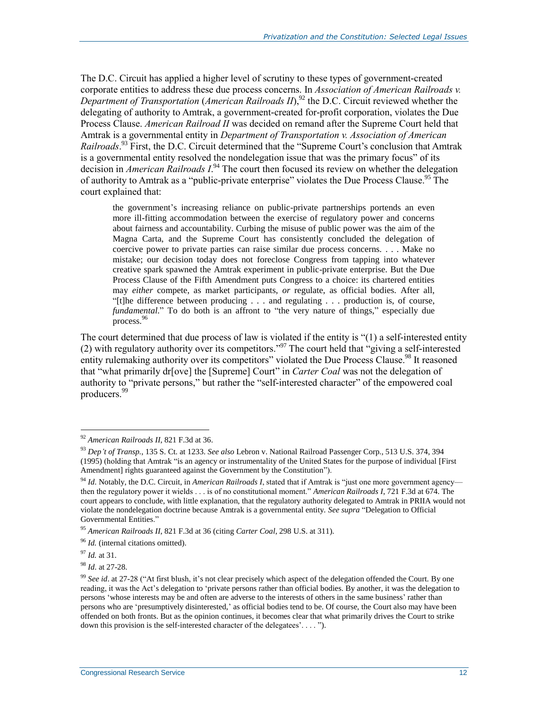The D.C. Circuit has applied a higher level of scrutiny to these types of government-created corporate entities to address these due process concerns. In *Association of American Railroads v. Department of Transportation* (*American Railroads II*), <sup>92</sup> the D.C. Circuit reviewed whether the delegating of authority to Amtrak, a government-created for-profit corporation, violates the Due Process Clause. *American Railroad II* was decided on remand after the Supreme Court held that Amtrak is a governmental entity in *Department of Transportation v. Association of American Railroads*. <sup>93</sup> First, the D.C. Circuit determined that the "Supreme Court's conclusion that Amtrak is a governmental entity resolved the nondelegation issue that was the primary focus" of its decision in *American Railroads I*. <sup>94</sup> The court then focused its review on whether the delegation of authority to Amtrak as a "public-private enterprise" violates the Due Process Clause.<sup>95</sup> The court explained that:

the government's increasing reliance on public-private partnerships portends an even more ill-fitting accommodation between the exercise of regulatory power and concerns about fairness and accountability. Curbing the misuse of public power was the aim of the Magna Carta, and the Supreme Court has consistently concluded the delegation of coercive power to private parties can raise similar due process concerns. . . . Make no mistake; our decision today does not foreclose Congress from tapping into whatever creative spark spawned the Amtrak experiment in public-private enterprise. But the Due Process Clause of the Fifth Amendment puts Congress to a choice: its chartered entities may *either* compete, as market participants, *or* regulate, as official bodies. After all, "[t]he difference between producing . . . and regulating . . . production is, of course, *fundamental.*" To do both is an affront to "the very nature of things," especially due process.<sup>96</sup>

The court determined that due process of law is violated if the entity is "(1) a self-interested entity (2) with regulatory authority over its competitors." <sup>97</sup> The court held that "giving a self-interested entity rulemaking authority over its competitors" violated the Due Process Clause.<sup>98</sup> It reasoned that "what primarily dr[ove] the [Supreme] Court" in *Carter Coal* was not the delegation of authority to "private persons," but rather the "self-interested character" of the empowered coal producers.<sup>99</sup>

 $\overline{a}$ 

<sup>98</sup> *Id*. at 27-28.

<sup>92</sup> *American Railroads II*, 821 F.3d at 36.

<sup>93</sup> *Dep't of Transp.*, 135 S. Ct. at 1233. *See also* Lebron v. National Railroad Passenger Corp., 513 U.S. 374, 394 (1995) (holding that Amtrak "is an agency or instrumentality of the United States for the purpose of individual [First Amendment] rights guaranteed against the Government by the Constitution").

<sup>94</sup> *Id*. Notably, the D.C. Circuit, in *American Railroads I*, stated that if Amtrak is "just one more government agency then the regulatory power it wields . . . is of no constitutional moment." *American Railroads I*, 721 F.3d at 674. The court appears to conclude, with little explanation, that the regulatory authority delegated to Amtrak in PRIIA would not violate the nondelegation doctrine because Amtrak is a governmental entity. *See supra* ["Delegation to Official](#page-8-1)  [Governmental Entities.](#page-8-1)"

<sup>95</sup> *American Railroads II*, 821 F.3d at 36 (citing *Carter Coal*, 298 U.S. at 311).

<sup>&</sup>lt;sup>96</sup> *Id.* (internal citations omitted).

<sup>97</sup> *Id.* at 31.

<sup>99</sup> *See id*. at 27-28 ("At first blush, it's not clear precisely which aspect of the delegation offended the Court. By one reading, it was the Act's delegation to 'private persons rather than official bodies. By another, it was the delegation to persons 'whose interests may be and often are adverse to the interests of others in the same business' rather than persons who are 'presumptively disinterested,' as official bodies tend to be. Of course, the Court also may have been offended on both fronts. But as the opinion continues, it becomes clear that what primarily drives the Court to strike down this provision is the self-interested character of the delegatees'. . . . ").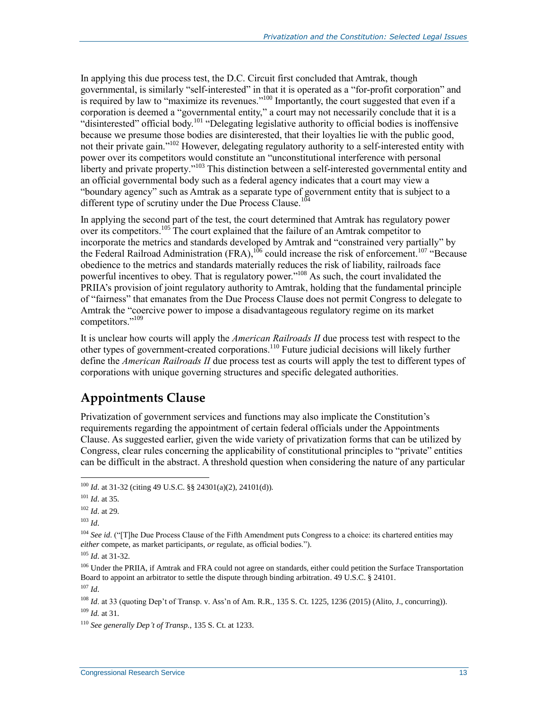In applying this due process test, the D.C. Circuit first concluded that Amtrak, though governmental, is similarly "self-interested" in that it is operated as a "for-profit corporation" and is required by law to "maximize its revenues."<sup>100</sup> Importantly, the court suggested that even if a corporation is deemed a "governmental entity," a court may not necessarily conclude that it is a "disinterested" official body.<sup>101</sup> "Delegating legislative authority to official bodies is inoffensive because we presume those bodies are disinterested, that their loyalties lie with the public good, not their private gain."<sup>102</sup> However, delegating regulatory authority to a self-interested entity with power over its competitors would constitute an "unconstitutional interference with personal liberty and private property."<sup>103</sup> This distinction between a self-interested governmental entity and an official governmental body such as a federal agency indicates that a court may view a "boundary agency" such as Amtrak as a separate type of government entity that is subject to a different type of scrutiny under the Due Process Clause.<sup>104</sup>

In applying the second part of the test, the court determined that Amtrak has regulatory power over its competitors.<sup>105</sup> The court explained that the failure of an Amtrak competitor to incorporate the metrics and standards developed by Amtrak and "constrained very partially" by the Federal Railroad Administration (FRA),  $^{106}$  could increase the risk of enforcement.<sup>107</sup> "Because" obedience to the metrics and standards materially reduces the risk of liability, railroads face powerful incentives to obey. That is regulatory power."<sup>108</sup> As such, the court invalidated the PRIIA's provision of joint regulatory authority to Amtrak, holding that the fundamental principle of "fairness" that emanates from the Due Process Clause does not permit Congress to delegate to Amtrak the "coercive power to impose a disadvantageous regulatory regime on its market competitors." 109

It is unclear how courts will apply the *American Railroads II* due process test with respect to the other types of government-created corporations.<sup>110</sup> Future judicial decisions will likely further define the *American Railroads II* due process test as courts will apply the test to different types of corporations with unique governing structures and specific delegated authorities.

### <span id="page-15-0"></span>**Appointments Clause**

Privatization of government services and functions may also implicate the Constitution's requirements regarding the appointment of certain federal officials under the Appointments Clause. As suggested earlier, given the wide variety of privatization forms that can be utilized by Congress, clear rules concerning the applicability of constitutional principles to "private" entities can be difficult in the abstract. A threshold question when considering the nature of any particular

<sup>100</sup> *Id*. at 31-32 (citing 49 U.S.C. §§ 24301(a)(2), 24101(d)).

<sup>101</sup> *Id*. at 35.

<sup>102</sup> *Id*. at 29.

<sup>103</sup> *Id*.

<sup>&</sup>lt;sup>104</sup> *See id.* ("[T]he Due Process Clause of the Fifth Amendment puts Congress to a choice: its chartered entities may *either* compete, as market participants, *or* regulate, as official bodies.").

<sup>105</sup> *Id*. at 31-32.

<sup>&</sup>lt;sup>106</sup> Under the PRIIA, if Amtrak and FRA could not agree on standards, either could petition the Surface Transportation Board to appoint an arbitrator to settle the dispute through binding arbitration. 49 U.S.C. § 24101.

<sup>107</sup> *Id*.

<sup>&</sup>lt;sup>108</sup> *Id.* at 33 (quoting Dep't of Transp. v. Ass'n of Am. R.R., 135 S. Ct. 1225, 1236 (2015) (Alito, J., concurring)). <sup>109</sup> *Id.* at 31.

<sup>110</sup> *See generally Dep't of Transp.*, 135 S. Ct. at 1233.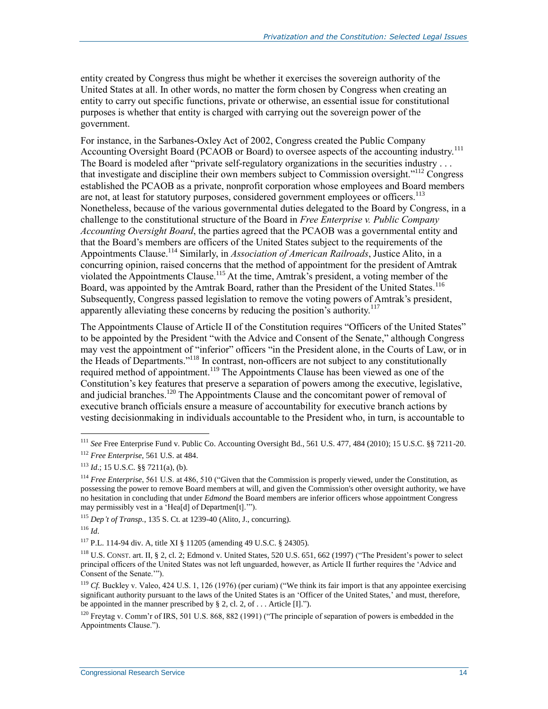entity created by Congress thus might be whether it exercises the sovereign authority of the United States at all. In other words, no matter the form chosen by Congress when creating an entity to carry out specific functions, private or otherwise, an essential issue for constitutional purposes is whether that entity is charged with carrying out the sovereign power of the government.

For instance, in the Sarbanes-Oxley Act of 2002, Congress created the Public Company Accounting Oversight Board (PCAOB or Board) to oversee aspects of the accounting industry.<sup>111</sup> The Board is modeled after "private self-regulatory organizations in the securities industry . . . that investigate and discipline their own members subject to Commission oversight."<sup>112</sup> Congress established the PCAOB as a private, nonprofit corporation whose employees and Board members are not, at least for statutory purposes, considered government employees or officers.<sup>113</sup> Nonetheless, because of the various governmental duties delegated to the Board by Congress, in a challenge to the constitutional structure of the Board in *Free Enterprise v. Public Company Accounting Oversight Board*, the parties agreed that the PCAOB was a governmental entity and that the Board's members are officers of the United States subject to the requirements of the Appointments Clause.<sup>114</sup> Similarly, in *Association of American Railroads*, Justice Alito, in a concurring opinion, raised concerns that the method of appointment for the president of Amtrak violated the Appointments Clause.<sup>115</sup> At the time, Amtrak's president, a voting member of the Board, was appointed by the Amtrak Board, rather than the President of the United States.<sup>116</sup> Subsequently, Congress passed legislation to remove the voting powers of Amtrak's president, apparently alleviating these concerns by reducing the position's authority.<sup>117</sup>

The Appointments Clause of Article II of the Constitution requires "Officers of the United States" to be appointed by the President "with the Advice and Consent of the Senate," although Congress may vest the appointment of "inferior" officers "in the President alone, in the Courts of Law, or in the Heads of Departments." <sup>118</sup> In contrast, non-officers are not subject to any constitutionally required method of appointment.<sup>119</sup> The Appointments Clause has been viewed as one of the Constitution's key features that preserve a separation of powers among the executive, legislative, and judicial branches.<sup>120</sup> The Appointments Clause and the concomitant power of removal of executive branch officials ensure a measure of accountability for executive branch actions by vesting decisionmaking in individuals accountable to the President who, in turn, is accountable to

<sup>111</sup> *See* Free Enterprise Fund v. Public Co. Accounting Oversight Bd., 561 U.S. 477, 484 (2010); 15 U.S.C. §§ 7211-20.

<sup>112</sup> *Free Enterprise*, 561 U.S. at 484.

 $113$  *Id.*; 15 U.S.C. §§ 7211(a), (b).

<sup>114</sup> *Free Enterprise*, 561 U.S. at 486, 510 ("Given that the Commission is properly viewed, under the Constitution, as possessing the power to remove Board members at will, and given the Commission's other oversight authority, we have no hesitation in concluding that under *Edmond* the Board members are inferior officers whose appointment Congress may permissibly vest in a 'Hea[d] of Departmen[t].'").

<sup>115</sup> *Dep't of Transp.*, 135 S. Ct. at 1239-40 (Alito, J., concurring).

<sup>116</sup> *Id*.

<sup>117</sup> P.L. 114-94 div. A, title XI § 11205 (amending 49 U.S.C. § 24305).

<sup>118</sup> U.S. CONST. art. II, § 2, cl. 2; Edmond v. United States, 520 U.S. 651, 662 (1997) ("The President's power to select principal officers of the United States was not left unguarded, however, as Article II further requires the 'Advice and Consent of the Senate.'").

<sup>&</sup>lt;sup>119</sup> *Cf.* Buckley v. Valeo, 424 U.S. 1, 126 (1976) (per curiam) ("We think its fair import is that any appointee exercising significant authority pursuant to the laws of the United States is an 'Officer of the United States,' and must, therefore, be appointed in the manner prescribed by  $\S 2$ , cl. 2, of . . . Article [I].").

<sup>&</sup>lt;sup>120</sup> Freytag v. Comm'r of IRS, 501 U.S. 868, 882 (1991) ("The principle of separation of powers is embedded in the Appointments Clause.").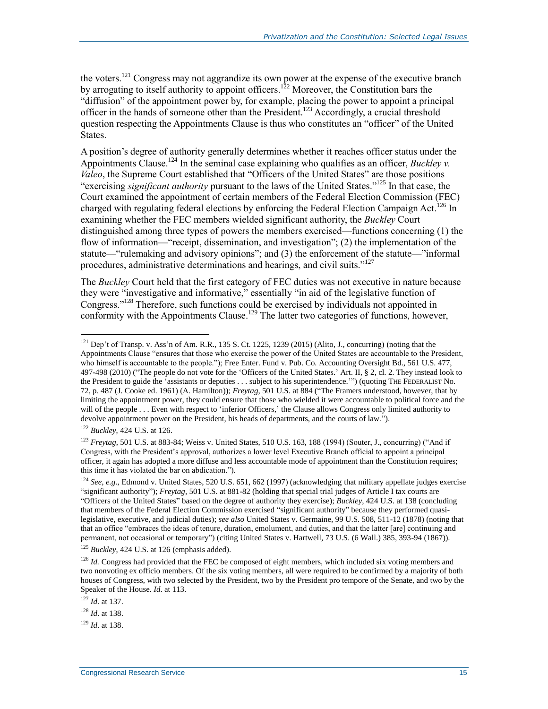the voters.<sup>121</sup> Congress may not aggrandize its own power at the expense of the executive branch by arrogating to itself authority to appoint officers.<sup>122</sup> Moreover, the Constitution bars the "diffusion" of the appointment power by, for example, placing the power to appoint a principal officer in the hands of someone other than the President.<sup>123</sup> Accordingly, a crucial threshold question respecting the Appointments Clause is thus who constitutes an "officer" of the United States.

A position's degree of authority generally determines whether it reaches officer status under the Appointments Clause.<sup>124</sup> In the seminal case explaining who qualifies as an officer, *Buckley v. Valeo*, the Supreme Court established that "Officers of the United States" are those positions "exercising *significant authority* pursuant to the laws of the United States." <sup>125</sup> In that case, the Court examined the appointment of certain members of the Federal Election Commission (FEC) charged with regulating federal elections by enforcing the Federal Election Campaign Act.<sup>126</sup> In examining whether the FEC members wielded significant authority, the *Buckley* Court distinguished among three types of powers the members exercised—functions concerning (1) the flow of information—"receipt, dissemination, and investigation"; (2) the implementation of the statute—"rulemaking and advisory opinions"; and (3) the enforcement of the statute—"informal procedures, administrative determinations and hearings, and civil suits."<sup>127</sup>

The *Buckley* Court held that the first category of FEC duties was not executive in nature because they were "investigative and informative," essentially "in aid of the legislative function of Congress."<sup>128</sup> Therefore, such functions could be exercised by individuals not appointed in conformity with the Appointments Clause.<sup>129</sup> The latter two categories of functions, however,

<sup>122</sup> *Buckley*, 424 U.S. at 126.

 $\overline{a}$ 

<sup>123</sup> *Freytag*, 501 U.S. at 883-84; Weiss v. United States, 510 U.S. 163, 188 (1994) (Souter, J., concurring) ("And if Congress, with the President's approval, authorizes a lower level Executive Branch official to appoint a principal officer, it again has adopted a more diffuse and less accountable mode of appointment than the Constitution requires; this time it has violated the bar on abdication.").

<sup>121</sup> Dep't of Transp. v. Ass'n of Am. R.R., 135 S. Ct. 1225, 1239 (2015) (Alito, J., concurring) (noting that the Appointments Clause "ensures that those who exercise the power of the United States are accountable to the President, who himself is accountable to the people."); Free Enter. Fund v. Pub. Co. Accounting Oversight Bd., 561 U.S. 477, 497-498 (2010) ("The people do not vote for the 'Officers of the United States.' Art. II, § 2, cl. 2. They instead look to the President to guide the 'assistants or deputies . . . subject to his superintendence.'") (quoting THE FEDERALIST No. 72, p. 487 (J. Cooke ed. 1961) (A. Hamilton)); *Freytag*, 501 U.S. at 884 ("The Framers understood, however, that by limiting the appointment power, they could ensure that those who wielded it were accountable to political force and the will of the people . . . Even with respect to 'inferior Officers,' the Clause allows Congress only limited authority to devolve appointment power on the President, his heads of departments, and the courts of law.").

<sup>124</sup> *See, e.g.*, Edmond v. United States, 520 U.S. 651, 662 (1997) (acknowledging that military appellate judges exercise "significant authority"); *Freytag*, 501 U.S. at 881-82 (holding that special trial judges of Article I tax courts are "Officers of the United States" based on the degree of authority they exercise); *Buckley*, 424 U.S. at 138 (concluding that members of the Federal Election Commission exercised "significant authority" because they performed quasilegislative, executive, and judicial duties); *see also* United States v. Germaine, 99 U.S. 508, 511-12 (1878) (noting that that an office "embraces the ideas of tenure, duration, emolument, and duties, and that the latter [are] continuing and permanent, not occasional or temporary") (citing United States v. Hartwell, 73 U.S. (6 Wall.) 385, 393-94 (1867)).

<sup>&</sup>lt;sup>125</sup> *Buckley*, 424 U.S. at 126 (emphasis added).

<sup>&</sup>lt;sup>126</sup> *Id.* Congress had provided that the FEC be composed of eight members, which included six voting members and two nonvoting ex officio members. Of the six voting members, all were required to be confirmed by a majority of both houses of Congress, with two selected by the President, two by the President pro tempore of the Senate, and two by the Speaker of the House. *Id*. at 113.

<sup>127</sup> *Id*. at 137.

<sup>128</sup> *Id*. at 138.

<sup>129</sup> *Id*. at 138.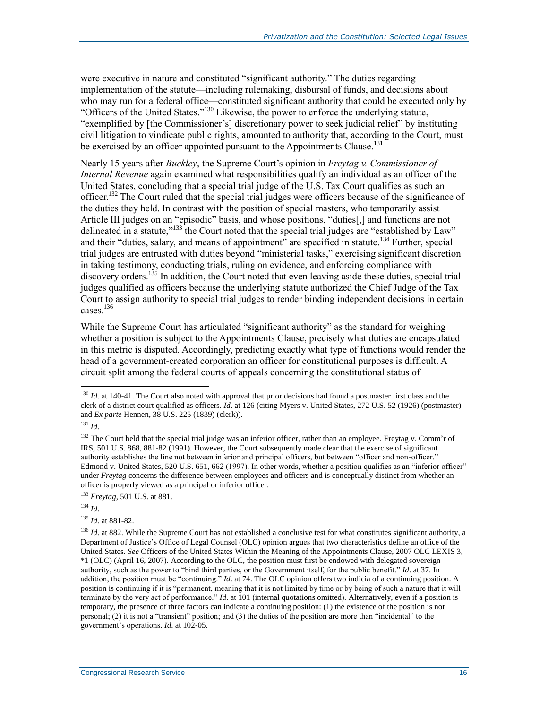were executive in nature and constituted "significant authority." The duties regarding implementation of the statute—including rulemaking, disbursal of funds, and decisions about who may run for a federal office—constituted significant authority that could be executed only by "Officers of the United States."<sup>130</sup> Likewise, the power to enforce the underlying statute, "exemplified by [the Commissioner's] discretionary power to seek judicial relief" by instituting civil litigation to vindicate public rights, amounted to authority that, according to the Court, must be exercised by an officer appointed pursuant to the Appointments Clause.<sup>131</sup>

Nearly 15 years after *Buckley*, the Supreme Court's opinion in *Freytag v. Commissioner of Internal Revenue* again examined what responsibilities qualify an individual as an officer of the United States, concluding that a special trial judge of the U.S. Tax Court qualifies as such an officer.<sup>132</sup> The Court ruled that the special trial judges were officers because of the significance of the duties they held. In contrast with the position of special masters, who temporarily assist Article III judges on an "episodic" basis, and whose positions, "duties[,] and functions are not delineated in a statute,"<sup>133</sup> the Court noted that the special trial judges are "established by Law" and their "duties, salary, and means of appointment" are specified in statute.<sup>134</sup> Further, special trial judges are entrusted with duties beyond "ministerial tasks," exercising significant discretion in taking testimony, conducting trials, ruling on evidence, and enforcing compliance with discovery orders.<sup>135</sup> In addition, the Court noted that even leaving aside these duties, special trial judges qualified as officers because the underlying statute authorized the Chief Judge of the Tax Court to assign authority to special trial judges to render binding independent decisions in certain cases<sup>136</sup>

While the Supreme Court has articulated "significant authority" as the standard for weighing whether a position is subject to the Appointments Clause, precisely what duties are encapsulated in this metric is disputed. Accordingly, predicting exactly what type of functions would render the head of a government-created corporation an officer for constitutional purposes is difficult. A circuit split among the federal courts of appeals concerning the constitutional status of

 $\overline{a}$ 

<sup>133</sup> *Freytag*, 501 U.S. at 881.

<sup>134</sup> *Id*.

<sup>135</sup> *Id*. at 881-82.

<sup>&</sup>lt;sup>130</sup> *Id.* at 140-41. The Court also noted with approval that prior decisions had found a postmaster first class and the clerk of a district court qualified as officers. *Id*. at 126 (citing Myers v. United States, 272 U.S. 52 (1926) (postmaster) and *Ex parte* Hennen, 38 U.S. 225 (1839) (clerk)).

<sup>131</sup> *Id*.

<sup>&</sup>lt;sup>132</sup> The Court held that the special trial judge was an inferior officer, rather than an employee. Freytag v. Comm'r of IRS, 501 U.S. 868, 881-82 (1991). However, the Court subsequently made clear that the exercise of significant authority establishes the line not between inferior and principal officers, but between "officer and non-officer." Edmond v. United States, 520 U.S. 651, 662 (1997). In other words, whether a position qualifies as an "inferior officer" under *Freytag* concerns the difference between employees and officers and is conceptually distinct from whether an officer is properly viewed as a principal or inferior officer.

<sup>&</sup>lt;sup>136</sup> *Id.* at 882. While the Supreme Court has not established a conclusive test for what constitutes significant authority, a Department of Justice's Office of Legal Counsel (OLC) opinion argues that two characteristics define an office of the United States. *See* Officers of the United States Within the Meaning of the Appointments Clause, 2007 OLC LEXIS 3, \*1 (OLC) (April 16, 2007). According to the OLC, the position must first be endowed with delegated sovereign authority, such as the power to "bind third parties, or the Government itself, for the public benefit." *Id*. at 37. In addition, the position must be "continuing." *Id*. at 74. The OLC opinion offers two indicia of a continuing position. A position is continuing if it is "permanent, meaning that it is not limited by time or by being of such a nature that it will terminate by the very act of performance." *Id*. at 101 (internal quotations omitted). Alternatively, even if a position is temporary, the presence of three factors can indicate a continuing position: (1) the existence of the position is not personal; (2) it is not a "transient" position; and (3) the duties of the position are more than "incidental" to the government's operations. *Id*. at 102-05.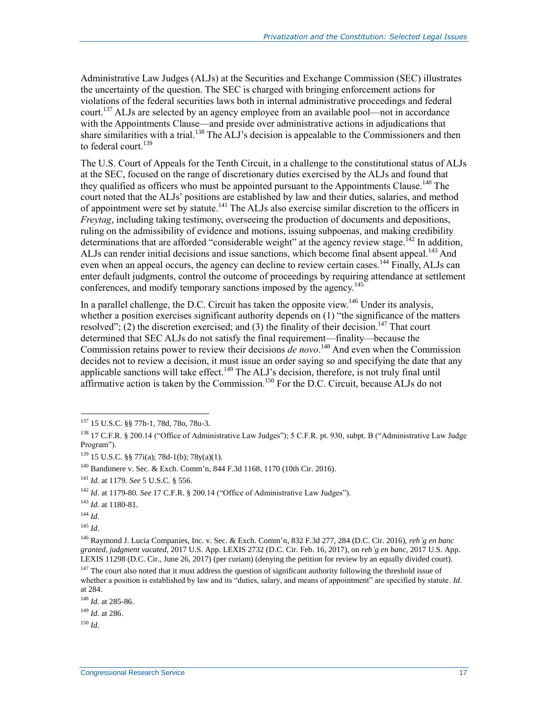Administrative Law Judges (ALJs) at the Securities and Exchange Commission (SEC) illustrates the uncertainty of the question. The SEC is charged with bringing enforcement actions for violations of the federal securities laws both in internal administrative proceedings and federal court.<sup>137</sup> ALJs are selected by an agency employee from an available pool—not in accordance with the Appointments Clause—and preside over administrative actions in adjudications that share similarities with a trial.<sup>138</sup> The  $ALJ$ 's decision is appealable to the Commissioners and then to federal court. $139$ 

The U.S. Court of Appeals for the Tenth Circuit, in a challenge to the constitutional status of ALJs at the SEC, focused on the range of discretionary duties exercised by the ALJs and found that they qualified as officers who must be appointed pursuant to the Appointments Clause.<sup>140</sup> The court noted that the ALJs' positions are established by law and their duties, salaries, and method of appointment were set by statute.<sup>141</sup> The ALJs also exercise similar discretion to the officers in *Freytag*, including taking testimony, overseeing the production of documents and depositions, ruling on the admissibility of evidence and motions, issuing subpoenas, and making credibility determinations that are afforded "considerable weight" at the agency review stage.<sup> $142$ </sup> In addition, ALJs can render initial decisions and issue sanctions, which become final absent appeal.<sup>143</sup> And even when an appeal occurs, the agency can decline to review certain cases.<sup>144</sup> Finally, ALJs can enter default judgments, control the outcome of proceedings by requiring attendance at settlement conferences, and modify temporary sanctions imposed by the agency.<sup>145</sup>

In a parallel challenge, the D.C. Circuit has taken the opposite view.<sup>146</sup> Under its analysis, whether a position exercises significant authority depends on (1) "the significance of the matters resolved"; (2) the discretion exercised; and (3) the finality of their decision.<sup>147</sup> That court determined that SEC ALJs do not satisfy the final requirement—finality—because the Commission retains power to review their decisions *de novo*.<sup>148</sup> And even when the Commission decides not to review a decision, it must issue an order saying so and specifying the date that any applicable sanctions will take effect.<sup>149</sup> The ALJ's decision, therefore, is not truly final until affirmative action is taken by the Commission.<sup>150</sup> For the D.C. Circuit, because ALJs do not

<sup>144</sup> *Id*.

<sup>137</sup> 15 U.S.C. §§ 77h-1, 78d, 78o, 78u-3.

<sup>&</sup>lt;sup>138</sup> 17 C.F.R. § 200.14 ("Office of Administrative Law Judges"); 5 C.F.R. pt. 930, subpt. B ("Administrative Law Judge Program").

 $139$  15 U.S.C. §§ 77i(a); 78d-1(b); 78y(a)(1).

<sup>140</sup> Bandimere v. Sec. & Exch. Comm'n, 844 F.3d 1168, 1170 (10th Cir. 2016).

<sup>141</sup> *Id*. at 1179. *See* 5 U.S.C. § 556.

<sup>142</sup> *Id*. at 1179-80. *See* 17 C.F.R. § 200.14 ("Office of Administrative Law Judges").

<sup>143</sup> *Id*. at 1180-81.

<sup>145</sup> *Id*.

<sup>146</sup> Raymond J. Lucia Companies, Inc. v. Sec. & Exch. Comm'n, 832 F.3d 277, 284 (D.C. Cir. 2016), *reh'g en banc granted, judgment vacated*, 2017 U.S. App. LEXIS 2732 (D.C. Cir. Feb. 16, 2017), on *reh'g en banc*, 2017 U.S. App. LEXIS 11298 (D.C. Cir., June 26, 2017) (per curiam) (denying the petition for review by an equally divided court).  $147$  The court also noted that it must address the question of significant authority following the threshold issue of whether a position is established by law and its "duties, salary, and means of appointment" are specified by statute. *Id*. at 284.

<sup>148</sup> *Id*. at 285-86.

<sup>149</sup> *Id*. at 286.

 $150$  *Id*.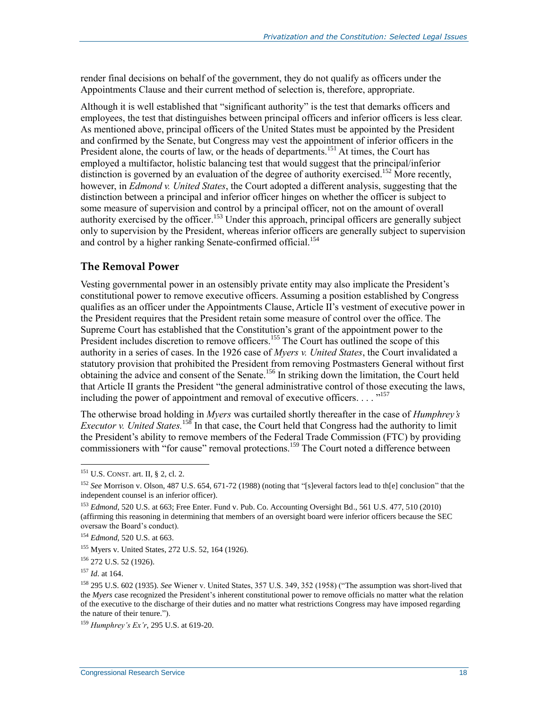render final decisions on behalf of the government, they do not qualify as officers under the Appointments Clause and their current method of selection is, therefore, appropriate.

Although it is well established that "significant authority" is the test that demarks officers and employees, the test that distinguishes between principal officers and inferior officers is less clear. As mentioned above, principal officers of the United States must be appointed by the President and confirmed by the Senate, but Congress may vest the appointment of inferior officers in the President alone, the courts of law, or the heads of departments.<sup>151</sup> At times, the Court has employed a multifactor, holistic balancing test that would suggest that the principal/inferior distinction is governed by an evaluation of the degree of authority exercised.<sup>152</sup> More recently, however, in *Edmond v. United States*, the Court adopted a different analysis, suggesting that the distinction between a principal and inferior officer hinges on whether the officer is subject to some measure of supervision and control by a principal officer, not on the amount of overall authority exercised by the officer.<sup>153</sup> Under this approach, principal officers are generally subject only to supervision by the President, whereas inferior officers are generally subject to supervision and control by a higher ranking Senate-confirmed official.<sup>154</sup>

#### **The Removal Power**

Vesting governmental power in an ostensibly private entity may also implicate the President's constitutional power to remove executive officers. Assuming a position established by Congress qualifies as an officer under the Appointments Clause, Article II's vestment of executive power in the President requires that the President retain some measure of control over the office. The Supreme Court has established that the Constitution's grant of the appointment power to the President includes discretion to remove officers.<sup>155</sup> The Court has outlined the scope of this authority in a series of cases. In the 1926 case of *Myers v. United States*, the Court invalidated a statutory provision that prohibited the President from removing Postmasters General without first obtaining the advice and consent of the Senate.<sup>156</sup> In striking down the limitation, the Court held that Article II grants the President "the general administrative control of those executing the laws, including the power of appointment and removal of executive officers. . . . "<sup>157</sup>

The otherwise broad holding in *Myers* was curtailed shortly thereafter in the case of *Humphrey's Executor v. United States.*<sup>158</sup> In that case, the Court held that Congress had the authority to limit the President's ability to remove members of the Federal Trade Commission (FTC) by providing commissioners with "for cause" removal protections.<sup>159</sup> The Court noted a difference between

<sup>151</sup> U.S. CONST. art. II, § 2, cl. 2.

<sup>152</sup> *See* Morrison v. Olson, 487 U.S. 654, 671-72 (1988) (noting that "[s]everal factors lead to th[e] conclusion" that the independent counsel is an inferior officer).

<sup>&</sup>lt;sup>153</sup> *Edmond*, 520 U.S. at 663; Free Enter. Fund v. Pub. Co. Accounting Oversight Bd., 561 U.S. 477, 510 (2010) (affirming this reasoning in determining that members of an oversight board were inferior officers because the SEC oversaw the Board's conduct).

<sup>154</sup> *Edmond*, 520 U.S. at 663.

<sup>155</sup> Myers v. United States, 272 U.S. 52, 164 (1926).

<sup>156</sup> 272 U.S. 52 (1926).

<sup>157</sup> *Id*. at 164.

<sup>158</sup> 295 U.S. 602 (1935). *See* Wiener v. United States, 357 U.S. 349, 352 (1958) ("The assumption was short-lived that the *Myers* case recognized the President's inherent constitutional power to remove officials no matter what the relation of the executive to the discharge of their duties and no matter what restrictions Congress may have imposed regarding the nature of their tenure.").

<sup>159</sup> *Humphrey's Ex'r*, 295 U.S. at 619-20.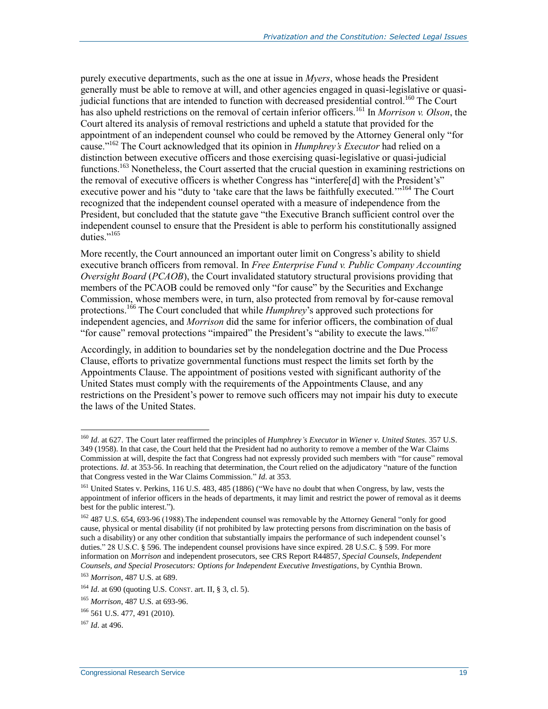purely executive departments, such as the one at issue in *Myers*, whose heads the President generally must be able to remove at will, and other agencies engaged in quasi-legislative or quasijudicial functions that are intended to function with decreased presidential control.<sup>160</sup> The Court has also upheld restrictions on the removal of certain inferior officers.<sup>161</sup> In *Morrison v. Olson*, the Court altered its analysis of removal restrictions and upheld a statute that provided for the appointment of an independent counsel who could be removed by the Attorney General only "for cause."<sup>162</sup> The Court acknowledged that its opinion in *Humphrey's Executor* had relied on a distinction between executive officers and those exercising quasi-legislative or quasi-judicial functions.<sup>163</sup> Nonetheless, the Court asserted that the crucial question in examining restrictions on the removal of executive officers is whether Congress has "interfere[d] with the President's" executive power and his "duty to 'take care that the laws be faithfully executed."<sup>164</sup> The Court recognized that the independent counsel operated with a measure of independence from the President, but concluded that the statute gave "the Executive Branch sufficient control over the independent counsel to ensure that the President is able to perform his constitutionally assigned duties."<sup>165</sup>

More recently, the Court announced an important outer limit on Congress's ability to shield executive branch officers from removal. In *Free Enterprise Fund v. Public Company Accounting Oversight Board* (*PCAOB*), the Court invalidated statutory structural provisions providing that members of the PCAOB could be removed only "for cause" by the Securities and Exchange Commission, whose members were, in turn, also protected from removal by for-cause removal protections.<sup>166</sup> The Court concluded that while *Humphrey*'s approved such protections for independent agencies, and *Morrison* did the same for inferior officers, the combination of dual "for cause" removal protections "impaired" the President's "ability to execute the laws."<sup>167</sup>

Accordingly, in addition to boundaries set by the nondelegation doctrine and the Due Process Clause, efforts to privatize governmental functions must respect the limits set forth by the Appointments Clause. The appointment of positions vested with significant authority of the United States must comply with the requirements of the Appointments Clause, and any restrictions on the President's power to remove such officers may not impair his duty to execute the laws of the United States.

<sup>160</sup> *Id*. at 627. The Court later reaffirmed the principles of *Humphrey's Executor* in *Wiener v. United States*. 357 U.S. 349 (1958). In that case, the Court held that the President had no authority to remove a member of the War Claims Commission at will, despite the fact that Congress had not expressly provided such members with "for cause" removal protections. *Id*. at 353-56. In reaching that determination, the Court relied on the adjudicatory "nature of the function that Congress vested in the War Claims Commission." *Id*. at 353.

<sup>&</sup>lt;sup>161</sup> United States v. Perkins, 116 U.S. 483, 485 (1886) ("We have no doubt that when Congress, by law, vests the appointment of inferior officers in the heads of departments, it may limit and restrict the power of removal as it deems best for the public interest.").

<sup>&</sup>lt;sup>162</sup> 487 U.S. 654, 693-96 (1988). The independent counsel was removable by the Attorney General "only for good cause, physical or mental disability (if not prohibited by law protecting persons from discrimination on the basis of such a disability) or any other condition that substantially impairs the performance of such independent counsel's duties." 28 U.S.C. § 596. The independent counsel provisions have since expired. 28 U.S.C. § 599. For more information on *Morrison* and independent prosecutors, see CRS Report R44857, *Special Counsels, Independent Counsels, and Special Prosecutors: Options for Independent Executive Investigations*, by Cynthia Brown.

<sup>163</sup> *Morrison*, 487 U.S. at 689.

<sup>164</sup> *Id*. at 690 (quoting U.S. CONST. art. II, § 3, cl. 5).

<sup>165</sup> *Morrison*, 487 U.S. at 693-96.

<sup>166</sup> 561 U.S. 477, 491 (2010).

<sup>167</sup> *Id*. at 496.